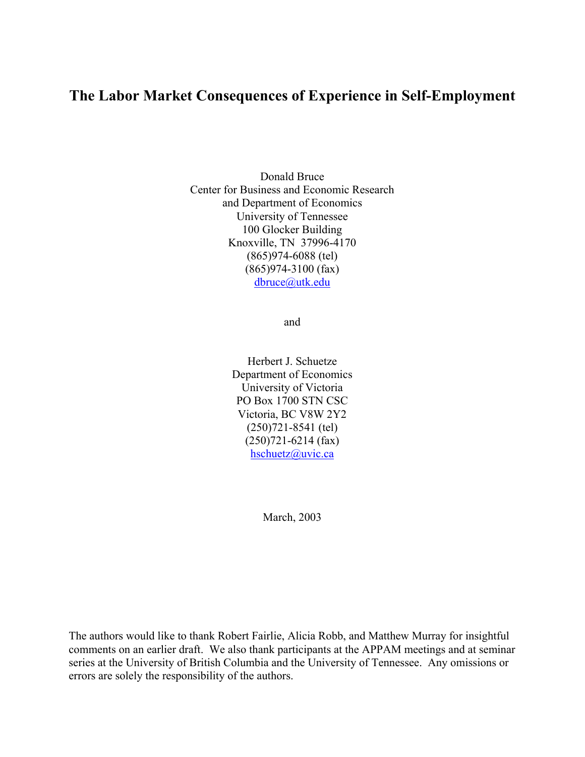# **The Labor Market Consequences of Experience in Self-Employment**

Donald Bruce Center for Business and Economic Research and Department of Economics University of Tennessee 100 Glocker Building Knoxville, TN 37996-4170 (865)974-6088 (tel) (865)974-3100 (fax) dbruce@utk.edu

and

Herbert J. Schuetze Department of Economics University of Victoria PO Box 1700 STN CSC Victoria, BC V8W 2Y2 (250)721-8541 (tel) (250)721-6214 (fax) hschuetz@uvic.ca

March, 2003

The authors would like to thank Robert Fairlie, Alicia Robb, and Matthew Murray for insightful comments on an earlier draft. We also thank participants at the APPAM meetings and at seminar series at the University of British Columbia and the University of Tennessee. Any omissions or errors are solely the responsibility of the authors.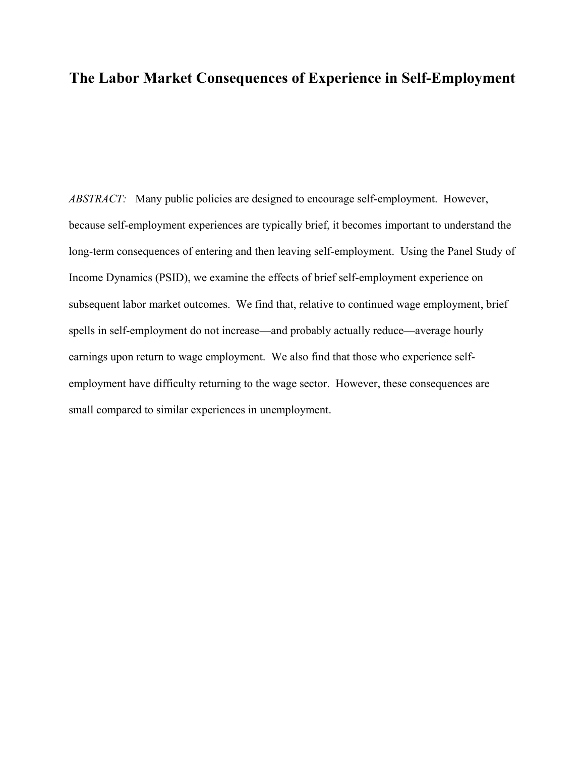## **The Labor Market Consequences of Experience in Self-Employment**

*ABSTRACT:* Many public policies are designed to encourage self-employment. However, because self-employment experiences are typically brief, it becomes important to understand the long-term consequences of entering and then leaving self-employment. Using the Panel Study of Income Dynamics (PSID), we examine the effects of brief self-employment experience on subsequent labor market outcomes. We find that, relative to continued wage employment, brief spells in self-employment do not increase—and probably actually reduce—average hourly earnings upon return to wage employment. We also find that those who experience selfemployment have difficulty returning to the wage sector. However, these consequences are small compared to similar experiences in unemployment.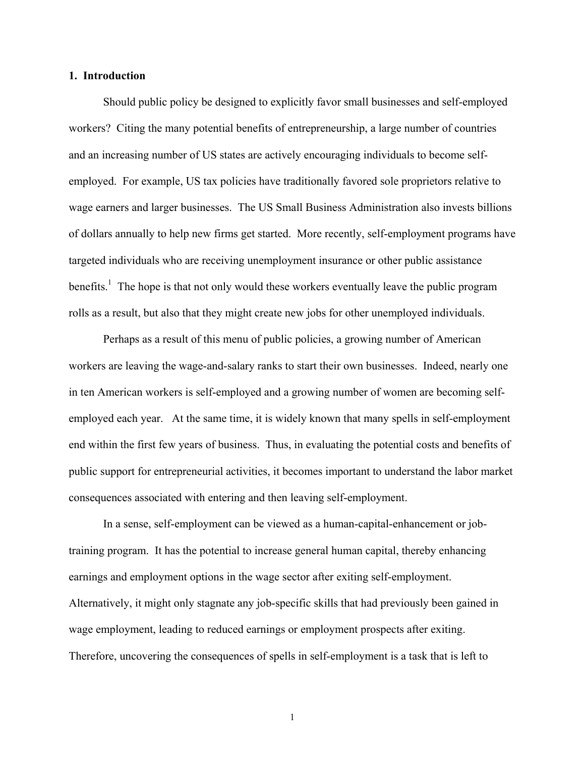### **1. Introduction**

Should public policy be designed to explicitly favor small businesses and self-employed workers? Citing the many potential benefits of entrepreneurship, a large number of countries and an increasing number of US states are actively encouraging individuals to become selfemployed. For example, US tax policies have traditionally favored sole proprietors relative to wage earners and larger businesses. The US Small Business Administration also invests billions of dollars annually to help new firms get started. More recently, self-employment programs have targeted individuals who are receiving unemployment insurance or other public assistance benefits.<sup>1</sup> The hope is that not only would these workers eventually leave the public program rolls as a result, but also that they might create new jobs for other unemployed individuals.

Perhaps as a result of this menu of public policies, a growing number of American workers are leaving the wage-and-salary ranks to start their own businesses. Indeed, nearly one in ten American workers is self-employed and a growing number of women are becoming selfemployed each year. At the same time, it is widely known that many spells in self-employment end within the first few years of business. Thus, in evaluating the potential costs and benefits of public support for entrepreneurial activities, it becomes important to understand the labor market consequences associated with entering and then leaving self-employment.

In a sense, self-employment can be viewed as a human-capital-enhancement or jobtraining program. It has the potential to increase general human capital, thereby enhancing earnings and employment options in the wage sector after exiting self-employment. Alternatively, it might only stagnate any job-specific skills that had previously been gained in wage employment, leading to reduced earnings or employment prospects after exiting. Therefore, uncovering the consequences of spells in self-employment is a task that is left to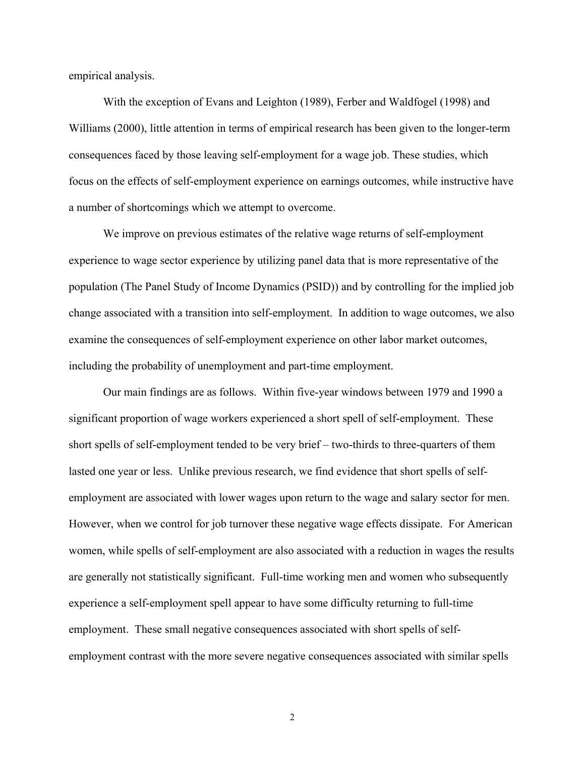empirical analysis.

 With the exception of Evans and Leighton (1989), Ferber and Waldfogel (1998) and Williams (2000), little attention in terms of empirical research has been given to the longer-term consequences faced by those leaving self-employment for a wage job. These studies, which focus on the effects of self-employment experience on earnings outcomes, while instructive have a number of shortcomings which we attempt to overcome.

We improve on previous estimates of the relative wage returns of self-employment experience to wage sector experience by utilizing panel data that is more representative of the population (The Panel Study of Income Dynamics (PSID)) and by controlling for the implied job change associated with a transition into self-employment. In addition to wage outcomes, we also examine the consequences of self-employment experience on other labor market outcomes, including the probability of unemployment and part-time employment.

 Our main findings are as follows. Within five-year windows between 1979 and 1990 a significant proportion of wage workers experienced a short spell of self-employment. These short spells of self-employment tended to be very brief – two-thirds to three-quarters of them lasted one year or less. Unlike previous research, we find evidence that short spells of selfemployment are associated with lower wages upon return to the wage and salary sector for men. However, when we control for job turnover these negative wage effects dissipate. For American women, while spells of self-employment are also associated with a reduction in wages the results are generally not statistically significant. Full-time working men and women who subsequently experience a self-employment spell appear to have some difficulty returning to full-time employment. These small negative consequences associated with short spells of selfemployment contrast with the more severe negative consequences associated with similar spells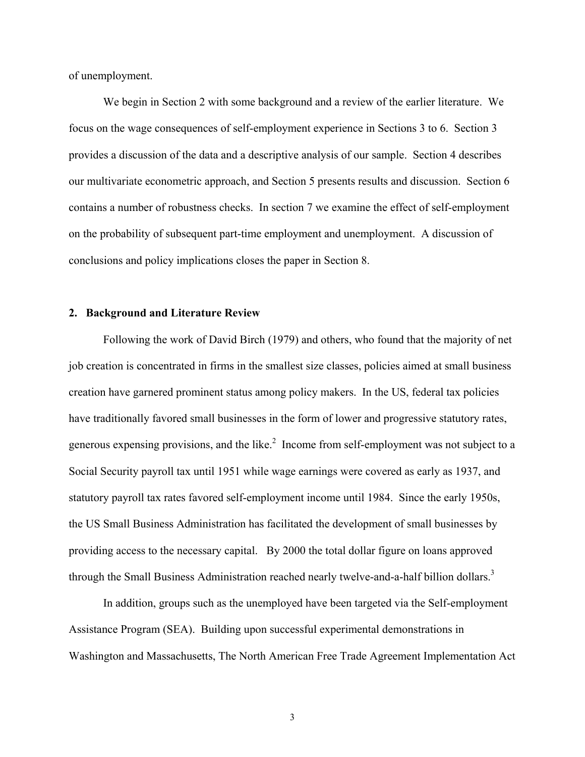of unemployment.

We begin in Section 2 with some background and a review of the earlier literature. We focus on the wage consequences of self-employment experience in Sections 3 to 6. Section 3 provides a discussion of the data and a descriptive analysis of our sample. Section 4 describes our multivariate econometric approach, and Section 5 presents results and discussion. Section 6 contains a number of robustness checks. In section 7 we examine the effect of self-employment on the probability of subsequent part-time employment and unemployment. A discussion of conclusions and policy implications closes the paper in Section 8.

## **2. Background and Literature Review**

Following the work of David Birch (1979) and others, who found that the majority of net job creation is concentrated in firms in the smallest size classes, policies aimed at small business creation have garnered prominent status among policy makers. In the US, federal tax policies have traditionally favored small businesses in the form of lower and progressive statutory rates, generous expensing provisions, and the like.<sup>2</sup> Income from self-employment was not subject to a Social Security payroll tax until 1951 while wage earnings were covered as early as 1937, and statutory payroll tax rates favored self-employment income until 1984. Since the early 1950s, the US Small Business Administration has facilitated the development of small businesses by providing access to the necessary capital. By 2000 the total dollar figure on loans approved through the Small Business Administration reached nearly twelve-and-a-half billion dollars.<sup>3</sup>

In addition, groups such as the unemployed have been targeted via the Self-employment Assistance Program (SEA). Building upon successful experimental demonstrations in Washington and Massachusetts, The North American Free Trade Agreement Implementation Act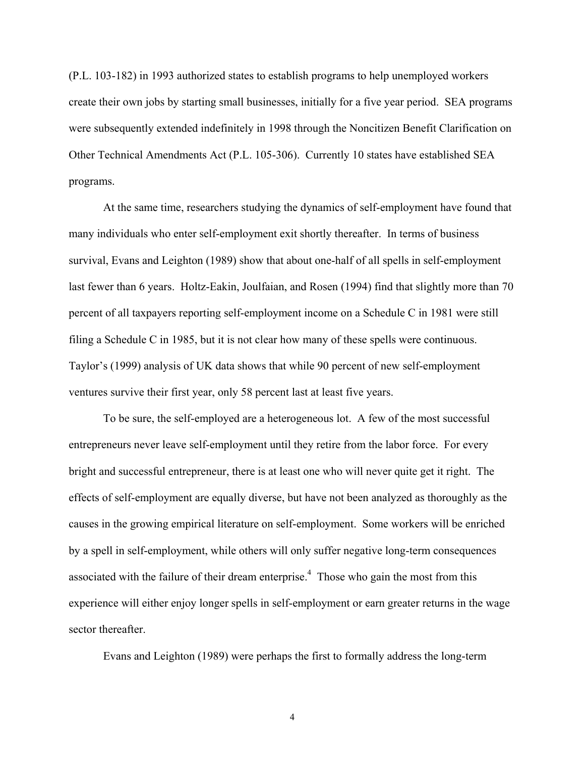(P.L. 103-182) in 1993 authorized states to establish programs to help unemployed workers create their own jobs by starting small businesses, initially for a five year period. SEA programs were subsequently extended indefinitely in 1998 through the Noncitizen Benefit Clarification on Other Technical Amendments Act (P.L. 105-306). Currently 10 states have established SEA programs.

At the same time, researchers studying the dynamics of self-employment have found that many individuals who enter self-employment exit shortly thereafter. In terms of business survival, Evans and Leighton (1989) show that about one-half of all spells in self-employment last fewer than 6 years. Holtz-Eakin, Joulfaian, and Rosen (1994) find that slightly more than 70 percent of all taxpayers reporting self-employment income on a Schedule C in 1981 were still filing a Schedule C in 1985, but it is not clear how many of these spells were continuous. Taylor's (1999) analysis of UK data shows that while 90 percent of new self-employment ventures survive their first year, only 58 percent last at least five years.

To be sure, the self-employed are a heterogeneous lot. A few of the most successful entrepreneurs never leave self-employment until they retire from the labor force. For every bright and successful entrepreneur, there is at least one who will never quite get it right. The effects of self-employment are equally diverse, but have not been analyzed as thoroughly as the causes in the growing empirical literature on self-employment. Some workers will be enriched by a spell in self-employment, while others will only suffer negative long-term consequences associated with the failure of their dream enterprise.<sup>4</sup> Those who gain the most from this experience will either enjoy longer spells in self-employment or earn greater returns in the wage sector thereafter.

Evans and Leighton (1989) were perhaps the first to formally address the long-term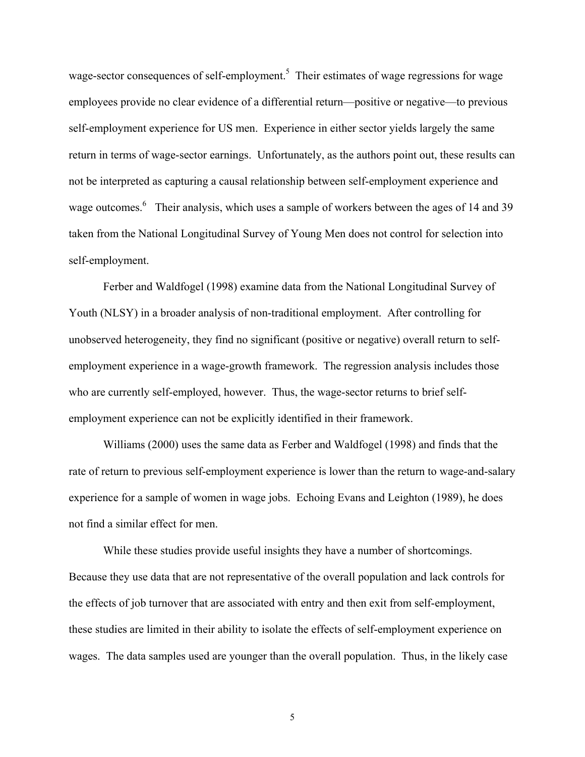wage-sector consequences of self-employment.<sup>5</sup> Their estimates of wage regressions for wage employees provide no clear evidence of a differential return—positive or negative—to previous self-employment experience for US men. Experience in either sector yields largely the same return in terms of wage-sector earnings. Unfortunately, as the authors point out, these results can not be interpreted as capturing a causal relationship between self-employment experience and wage outcomes.<sup>6</sup> Their analysis, which uses a sample of workers between the ages of 14 and 39 taken from the National Longitudinal Survey of Young Men does not control for selection into self-employment.

Ferber and Waldfogel (1998) examine data from the National Longitudinal Survey of Youth (NLSY) in a broader analysis of non-traditional employment. After controlling for unobserved heterogeneity, they find no significant (positive or negative) overall return to selfemployment experience in a wage-growth framework. The regression analysis includes those who are currently self-employed, however. Thus, the wage-sector returns to brief selfemployment experience can not be explicitly identified in their framework.

Williams (2000) uses the same data as Ferber and Waldfogel (1998) and finds that the rate of return to previous self-employment experience is lower than the return to wage-and-salary experience for a sample of women in wage jobs. Echoing Evans and Leighton (1989), he does not find a similar effect for men.

While these studies provide useful insights they have a number of shortcomings. Because they use data that are not representative of the overall population and lack controls for the effects of job turnover that are associated with entry and then exit from self-employment, these studies are limited in their ability to isolate the effects of self-employment experience on wages. The data samples used are younger than the overall population. Thus, in the likely case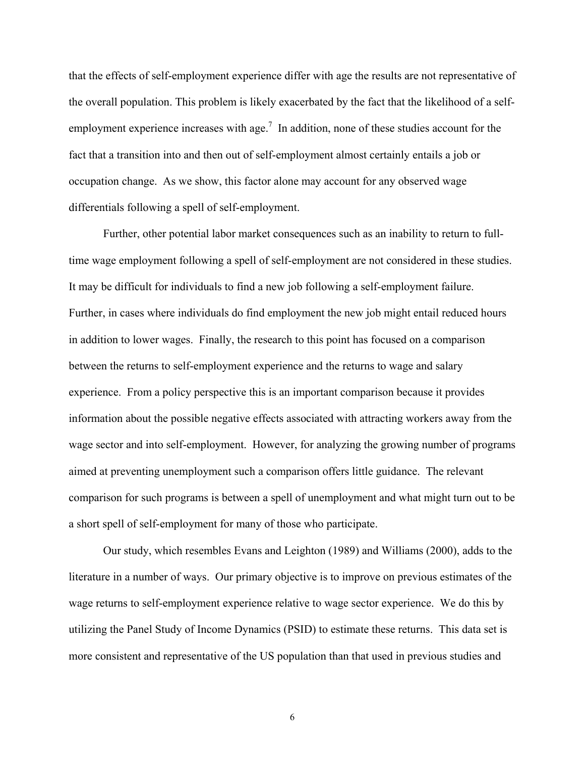that the effects of self-employment experience differ with age the results are not representative of the overall population. This problem is likely exacerbated by the fact that the likelihood of a selfemployment experience increases with age.<sup>7</sup> In addition, none of these studies account for the fact that a transition into and then out of self-employment almost certainly entails a job or occupation change. As we show, this factor alone may account for any observed wage differentials following a spell of self-employment.

Further, other potential labor market consequences such as an inability to return to fulltime wage employment following a spell of self-employment are not considered in these studies. It may be difficult for individuals to find a new job following a self-employment failure. Further, in cases where individuals do find employment the new job might entail reduced hours in addition to lower wages. Finally, the research to this point has focused on a comparison between the returns to self-employment experience and the returns to wage and salary experience. From a policy perspective this is an important comparison because it provides information about the possible negative effects associated with attracting workers away from the wage sector and into self-employment. However, for analyzing the growing number of programs aimed at preventing unemployment such a comparison offers little guidance. The relevant comparison for such programs is between a spell of unemployment and what might turn out to be a short spell of self-employment for many of those who participate.

Our study, which resembles Evans and Leighton (1989) and Williams (2000), adds to the literature in a number of ways. Our primary objective is to improve on previous estimates of the wage returns to self-employment experience relative to wage sector experience. We do this by utilizing the Panel Study of Income Dynamics (PSID) to estimate these returns. This data set is more consistent and representative of the US population than that used in previous studies and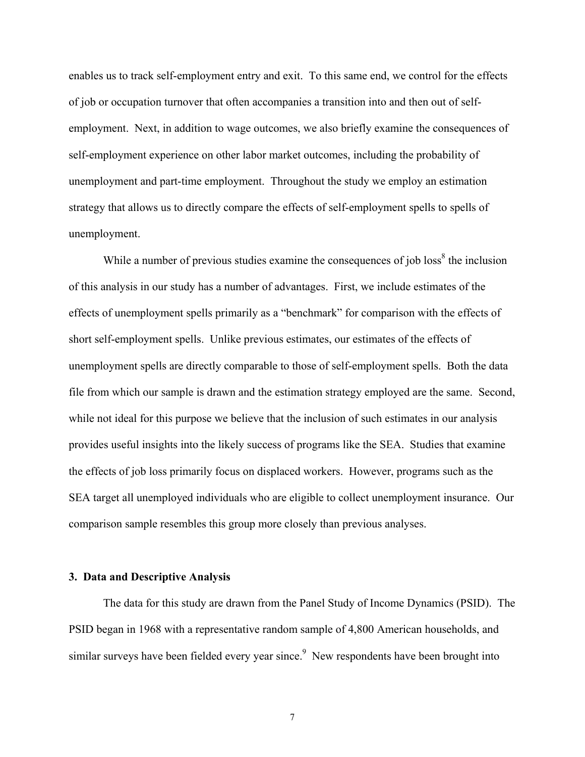enables us to track self-employment entry and exit. To this same end, we control for the effects of job or occupation turnover that often accompanies a transition into and then out of selfemployment. Next, in addition to wage outcomes, we also briefly examine the consequences of self-employment experience on other labor market outcomes, including the probability of unemployment and part-time employment. Throughout the study we employ an estimation strategy that allows us to directly compare the effects of self-employment spells to spells of unemployment.

While a number of previous studies examine the consequences of job loss<sup>8</sup> the inclusion of this analysis in our study has a number of advantages. First, we include estimates of the effects of unemployment spells primarily as a "benchmark" for comparison with the effects of short self-employment spells. Unlike previous estimates, our estimates of the effects of unemployment spells are directly comparable to those of self-employment spells. Both the data file from which our sample is drawn and the estimation strategy employed are the same. Second, while not ideal for this purpose we believe that the inclusion of such estimates in our analysis provides useful insights into the likely success of programs like the SEA. Studies that examine the effects of job loss primarily focus on displaced workers. However, programs such as the SEA target all unemployed individuals who are eligible to collect unemployment insurance. Our comparison sample resembles this group more closely than previous analyses.

### **3. Data and Descriptive Analysis**

 The data for this study are drawn from the Panel Study of Income Dynamics (PSID). The PSID began in 1968 with a representative random sample of 4,800 American households, and similar surveys have been fielded every year since.<sup>9</sup> New respondents have been brought into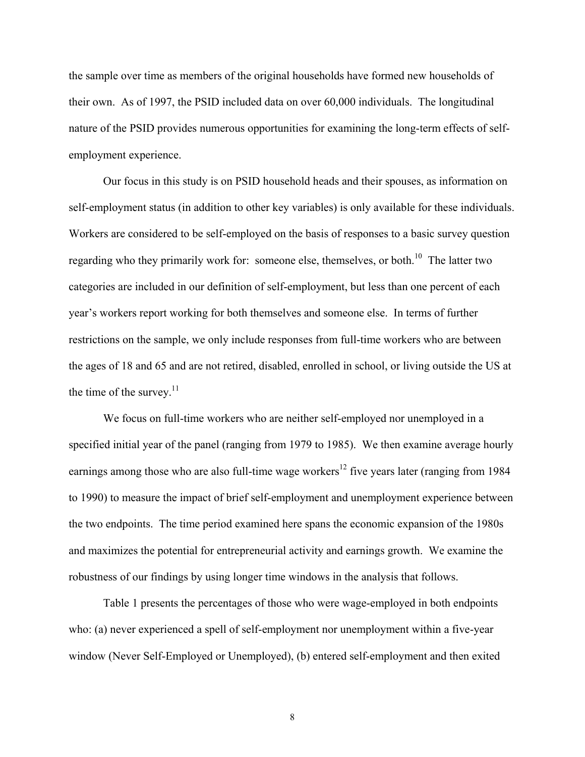the sample over time as members of the original households have formed new households of their own. As of 1997, the PSID included data on over 60,000 individuals. The longitudinal nature of the PSID provides numerous opportunities for examining the long-term effects of selfemployment experience.

 Our focus in this study is on PSID household heads and their spouses, as information on self-employment status (in addition to other key variables) is only available for these individuals. Workers are considered to be self-employed on the basis of responses to a basic survey question regarding who they primarily work for: someone else, themselves, or both.<sup>10</sup> The latter two categories are included in our definition of self-employment, but less than one percent of each year's workers report working for both themselves and someone else. In terms of further restrictions on the sample, we only include responses from full-time workers who are between the ages of 18 and 65 and are not retired, disabled, enrolled in school, or living outside the US at the time of the survey. $11$ 

 We focus on full-time workers who are neither self-employed nor unemployed in a specified initial year of the panel (ranging from 1979 to 1985). We then examine average hourly earnings among those who are also full-time wage workers<sup>12</sup> five years later (ranging from 1984) to 1990) to measure the impact of brief self-employment and unemployment experience between the two endpoints. The time period examined here spans the economic expansion of the 1980s and maximizes the potential for entrepreneurial activity and earnings growth. We examine the robustness of our findings by using longer time windows in the analysis that follows.

Table 1 presents the percentages of those who were wage-employed in both endpoints who: (a) never experienced a spell of self-employment nor unemployment within a five-year window (Never Self-Employed or Unemployed), (b) entered self-employment and then exited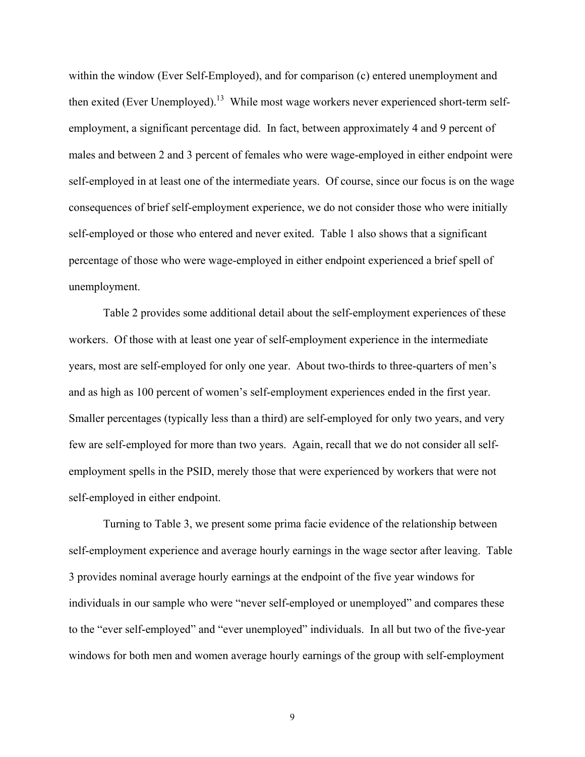within the window (Ever Self-Employed), and for comparison (c) entered unemployment and then exited (Ever Unemployed).<sup>13</sup> While most wage workers never experienced short-term selfemployment, a significant percentage did. In fact, between approximately 4 and 9 percent of males and between 2 and 3 percent of females who were wage-employed in either endpoint were self-employed in at least one of the intermediate years. Of course, since our focus is on the wage consequences of brief self-employment experience, we do not consider those who were initially self-employed or those who entered and never exited. Table 1 also shows that a significant percentage of those who were wage-employed in either endpoint experienced a brief spell of unemployment.

 Table 2 provides some additional detail about the self-employment experiences of these workers. Of those with at least one year of self-employment experience in the intermediate years, most are self-employed for only one year. About two-thirds to three-quarters of men's and as high as 100 percent of women's self-employment experiences ended in the first year. Smaller percentages (typically less than a third) are self-employed for only two years, and very few are self-employed for more than two years. Again, recall that we do not consider all selfemployment spells in the PSID, merely those that were experienced by workers that were not self-employed in either endpoint.

Turning to Table 3, we present some prima facie evidence of the relationship between self-employment experience and average hourly earnings in the wage sector after leaving. Table 3 provides nominal average hourly earnings at the endpoint of the five year windows for individuals in our sample who were "never self-employed or unemployed" and compares these to the "ever self-employed" and "ever unemployed" individuals. In all but two of the five-year windows for both men and women average hourly earnings of the group with self-employment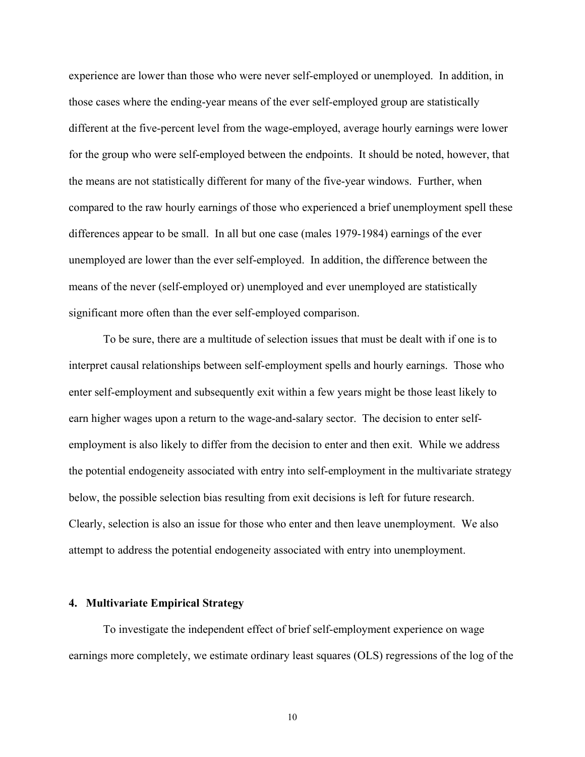experience are lower than those who were never self-employed or unemployed. In addition, in those cases where the ending-year means of the ever self-employed group are statistically different at the five-percent level from the wage-employed, average hourly earnings were lower for the group who were self-employed between the endpoints. It should be noted, however, that the means are not statistically different for many of the five-year windows. Further, when compared to the raw hourly earnings of those who experienced a brief unemployment spell these differences appear to be small. In all but one case (males 1979-1984) earnings of the ever unemployed are lower than the ever self-employed. In addition, the difference between the means of the never (self-employed or) unemployed and ever unemployed are statistically significant more often than the ever self-employed comparison.

To be sure, there are a multitude of selection issues that must be dealt with if one is to interpret causal relationships between self-employment spells and hourly earnings. Those who enter self-employment and subsequently exit within a few years might be those least likely to earn higher wages upon a return to the wage-and-salary sector. The decision to enter selfemployment is also likely to differ from the decision to enter and then exit. While we address the potential endogeneity associated with entry into self-employment in the multivariate strategy below, the possible selection bias resulting from exit decisions is left for future research. Clearly, selection is also an issue for those who enter and then leave unemployment. We also attempt to address the potential endogeneity associated with entry into unemployment.

#### **4. Multivariate Empirical Strategy**

To investigate the independent effect of brief self-employment experience on wage earnings more completely, we estimate ordinary least squares (OLS) regressions of the log of the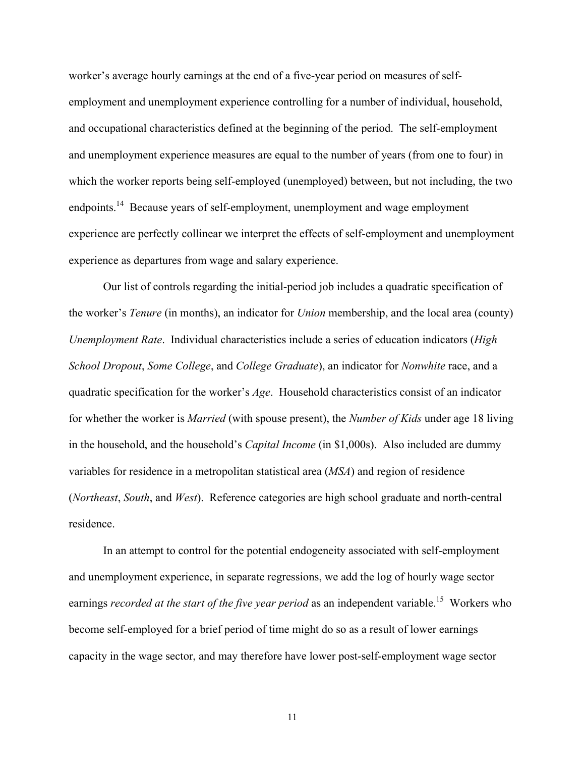worker's average hourly earnings at the end of a five-year period on measures of selfemployment and unemployment experience controlling for a number of individual, household, and occupational characteristics defined at the beginning of the period. The self-employment and unemployment experience measures are equal to the number of years (from one to four) in which the worker reports being self-employed (unemployed) between, but not including, the two endpoints.14 Because years of self-employment, unemployment and wage employment experience are perfectly collinear we interpret the effects of self-employment and unemployment experience as departures from wage and salary experience.

Our list of controls regarding the initial-period job includes a quadratic specification of the worker's *Tenure* (in months), an indicator for *Union* membership, and the local area (county) *Unemployment Rate*. Individual characteristics include a series of education indicators (*High School Dropout*, *Some College*, and *College Graduate*), an indicator for *Nonwhite* race, and a quadratic specification for the worker's *Age*. Household characteristics consist of an indicator for whether the worker is *Married* (with spouse present), the *Number of Kids* under age 18 living in the household, and the household's *Capital Income* (in \$1,000s). Also included are dummy variables for residence in a metropolitan statistical area (*MSA*) and region of residence (*Northeast*, *South*, and *West*). Reference categories are high school graduate and north-central residence.

In an attempt to control for the potential endogeneity associated with self-employment and unemployment experience, in separate regressions, we add the log of hourly wage sector earnings *recorded at the start of the five year period* as an independent variable.<sup>15</sup> Workers who become self-employed for a brief period of time might do so as a result of lower earnings capacity in the wage sector, and may therefore have lower post-self-employment wage sector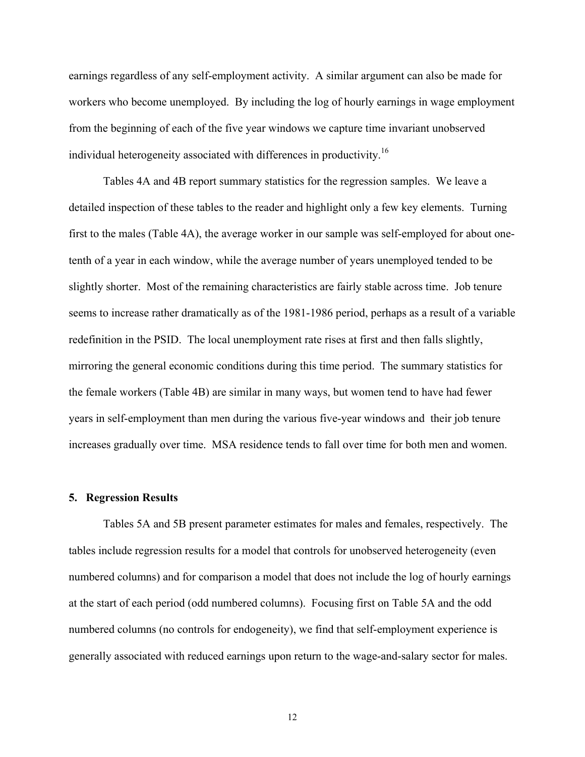earnings regardless of any self-employment activity. A similar argument can also be made for workers who become unemployed. By including the log of hourly earnings in wage employment from the beginning of each of the five year windows we capture time invariant unobserved individual heterogeneity associated with differences in productivity.16

Tables 4A and 4B report summary statistics for the regression samples. We leave a detailed inspection of these tables to the reader and highlight only a few key elements. Turning first to the males (Table 4A), the average worker in our sample was self-employed for about onetenth of a year in each window, while the average number of years unemployed tended to be slightly shorter. Most of the remaining characteristics are fairly stable across time. Job tenure seems to increase rather dramatically as of the 1981-1986 period, perhaps as a result of a variable redefinition in the PSID. The local unemployment rate rises at first and then falls slightly, mirroring the general economic conditions during this time period. The summary statistics for the female workers (Table 4B) are similar in many ways, but women tend to have had fewer years in self-employment than men during the various five-year windows and their job tenure increases gradually over time. MSA residence tends to fall over time for both men and women.

### **5. Regression Results**

Tables 5A and 5B present parameter estimates for males and females, respectively. The tables include regression results for a model that controls for unobserved heterogeneity (even numbered columns) and for comparison a model that does not include the log of hourly earnings at the start of each period (odd numbered columns). Focusing first on Table 5A and the odd numbered columns (no controls for endogeneity), we find that self-employment experience is generally associated with reduced earnings upon return to the wage-and-salary sector for males.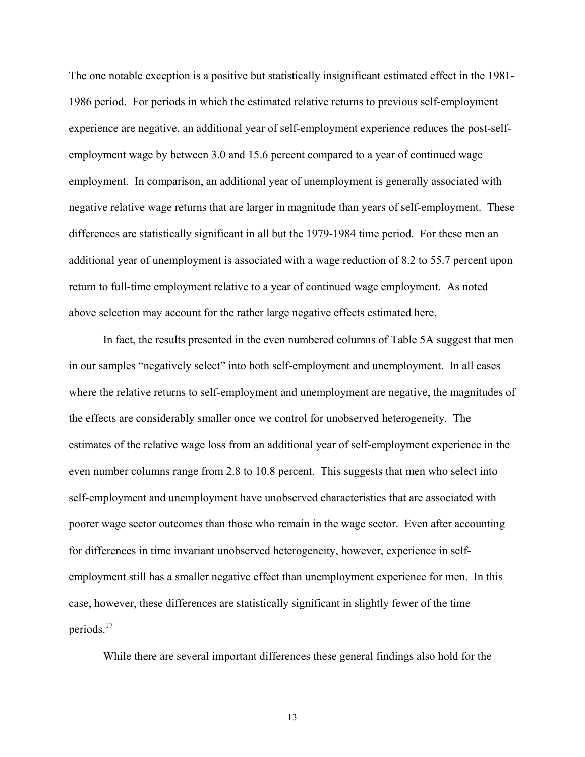The one notable exception is a positive but statistically insignificant estimated effect in the 1981- 1986 period. For periods in which the estimated relative returns to previous self-employment experience are negative, an additional year of self-employment experience reduces the post-selfemployment wage by between 3.0 and 15.6 percent compared to a year of continued wage employment. In comparison, an additional year of unemployment is generally associated with negative relative wage returns that are larger in magnitude than years of self-employment. These differences are statistically significant in all but the 1979-1984 time period. For these men an additional year of unemployment is associated with a wage reduction of 8.2 to 55.7 percent upon return to full-time employment relative to a year of continued wage employment. As noted above selection may account for the rather large negative effects estimated here.

In fact, the results presented in the even numbered columns of Table 5A suggest that men in our samples "negatively select" into both self-employment and unemployment. In all cases where the relative returns to self-employment and unemployment are negative, the magnitudes of the effects are considerably smaller once we control for unobserved heterogeneity. The estimates of the relative wage loss from an additional year of self-employment experience in the even number columns range from 2.8 to 10.8 percent. This suggests that men who select into self-employment and unemployment have unobserved characteristics that are associated with poorer wage sector outcomes than those who remain in the wage sector. Even after accounting for differences in time invariant unobserved heterogeneity, however, experience in selfemployment still has a smaller negative effect than unemployment experience for men. In this case, however, these differences are statistically significant in slightly fewer of the time periods.17

While there are several important differences these general findings also hold for the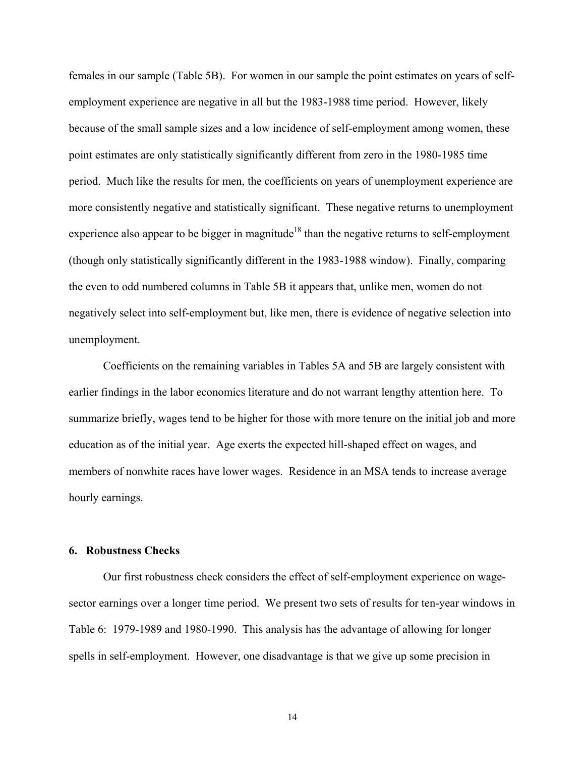females in our sample (Table 5B). For women in our sample the point estimates on years of selfemployment experience are negative in all but the 1983-1988 time period. However, likely because of the small sample sizes and a low incidence of self-employment among women, these point estimates are only statistically significantly different from zero in the 1980-1985 time period. Much like the results for men, the coefficients on years of unemployment experience are more consistently negative and statistically significant. These negative returns to unemployment experience also appear to be bigger in magnitude<sup>18</sup> than the negative returns to self-employment (though only statistically significantly different in the 1983-1988 window). Finally, comparing the even to odd numbered columns in Table 5B it appears that, unlike men, women do not negatively select into self-employment but, like men, there is evidence of negative selection into unemployment.

 Coefficients on the remaining variables in Tables 5A and 5B are largely consistent with earlier findings in the labor economics literature and do not warrant lengthy attention here. To summarize briefly, wages tend to be higher for those with more tenure on the initial job and more education as of the initial year. Age exerts the expected hill-shaped effect on wages, and members of nonwhite races have lower wages. Residence in an MSA tends to increase average hourly earnings.

## **6. Robustness Checks**

 Our first robustness check considers the effect of self-employment experience on wagesector earnings over a longer time period. We present two sets of results for ten-year windows in Table 6: 1979-1989 and 1980-1990. This analysis has the advantage of allowing for longer spells in self-employment. However, one disadvantage is that we give up some precision in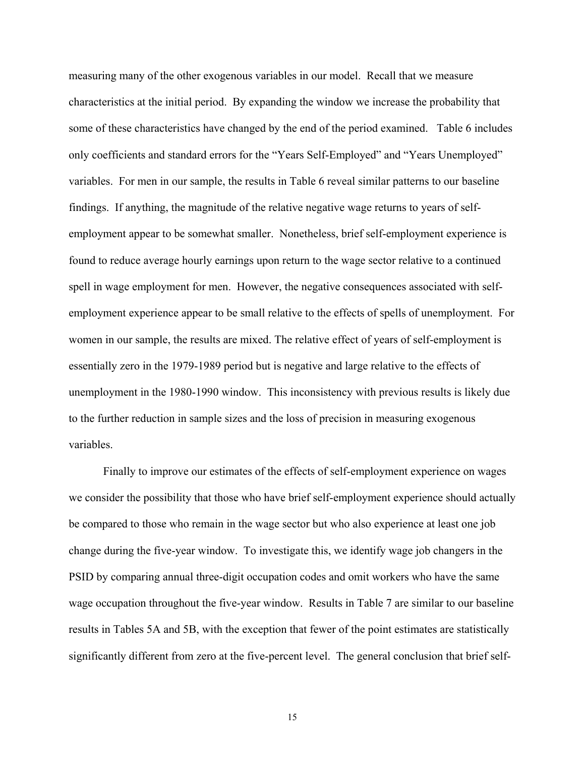measuring many of the other exogenous variables in our model. Recall that we measure characteristics at the initial period. By expanding the window we increase the probability that some of these characteristics have changed by the end of the period examined. Table 6 includes only coefficients and standard errors for the "Years Self-Employed" and "Years Unemployed" variables. For men in our sample, the results in Table 6 reveal similar patterns to our baseline findings. If anything, the magnitude of the relative negative wage returns to years of selfemployment appear to be somewhat smaller. Nonetheless, brief self-employment experience is found to reduce average hourly earnings upon return to the wage sector relative to a continued spell in wage employment for men. However, the negative consequences associated with selfemployment experience appear to be small relative to the effects of spells of unemployment. For women in our sample, the results are mixed. The relative effect of years of self-employment is essentially zero in the 1979-1989 period but is negative and large relative to the effects of unemployment in the 1980-1990 window. This inconsistency with previous results is likely due to the further reduction in sample sizes and the loss of precision in measuring exogenous variables.

 Finally to improve our estimates of the effects of self-employment experience on wages we consider the possibility that those who have brief self-employment experience should actually be compared to those who remain in the wage sector but who also experience at least one job change during the five-year window. To investigate this, we identify wage job changers in the PSID by comparing annual three-digit occupation codes and omit workers who have the same wage occupation throughout the five-year window. Results in Table 7 are similar to our baseline results in Tables 5A and 5B, with the exception that fewer of the point estimates are statistically significantly different from zero at the five-percent level. The general conclusion that brief self-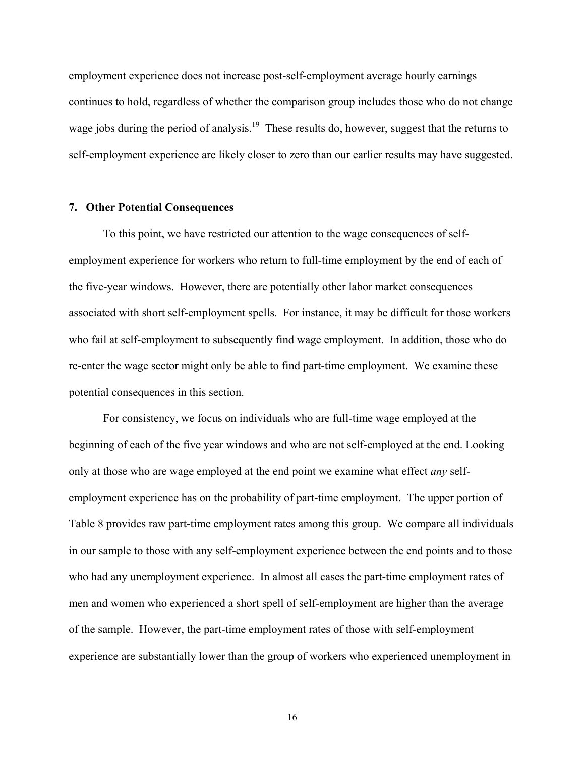employment experience does not increase post-self-employment average hourly earnings continues to hold, regardless of whether the comparison group includes those who do not change wage jobs during the period of analysis.<sup>19</sup> These results do, however, suggest that the returns to self-employment experience are likely closer to zero than our earlier results may have suggested.

#### **7. Other Potential Consequences**

 To this point, we have restricted our attention to the wage consequences of selfemployment experience for workers who return to full-time employment by the end of each of the five-year windows. However, there are potentially other labor market consequences associated with short self-employment spells. For instance, it may be difficult for those workers who fail at self-employment to subsequently find wage employment. In addition, those who do re-enter the wage sector might only be able to find part-time employment. We examine these potential consequences in this section.

 For consistency, we focus on individuals who are full-time wage employed at the beginning of each of the five year windows and who are not self-employed at the end. Looking only at those who are wage employed at the end point we examine what effect *any* selfemployment experience has on the probability of part-time employment. The upper portion of Table 8 provides raw part-time employment rates among this group. We compare all individuals in our sample to those with any self-employment experience between the end points and to those who had any unemployment experience. In almost all cases the part-time employment rates of men and women who experienced a short spell of self-employment are higher than the average of the sample. However, the part-time employment rates of those with self-employment experience are substantially lower than the group of workers who experienced unemployment in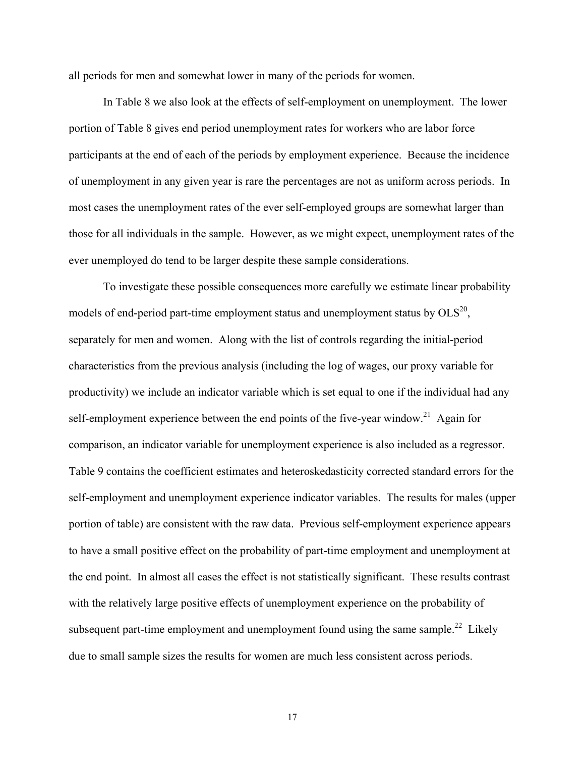all periods for men and somewhat lower in many of the periods for women.

In Table 8 we also look at the effects of self-employment on unemployment. The lower portion of Table 8 gives end period unemployment rates for workers who are labor force participants at the end of each of the periods by employment experience. Because the incidence of unemployment in any given year is rare the percentages are not as uniform across periods. In most cases the unemployment rates of the ever self-employed groups are somewhat larger than those for all individuals in the sample. However, as we might expect, unemployment rates of the ever unemployed do tend to be larger despite these sample considerations.

To investigate these possible consequences more carefully we estimate linear probability models of end-period part-time employment status and unemployment status by  $OLS^{20}$ , separately for men and women. Along with the list of controls regarding the initial-period characteristics from the previous analysis (including the log of wages, our proxy variable for productivity) we include an indicator variable which is set equal to one if the individual had any self-employment experience between the end points of the five-year window.<sup>21</sup> Again for comparison, an indicator variable for unemployment experience is also included as a regressor. Table 9 contains the coefficient estimates and heteroskedasticity corrected standard errors for the self-employment and unemployment experience indicator variables. The results for males (upper portion of table) are consistent with the raw data. Previous self-employment experience appears to have a small positive effect on the probability of part-time employment and unemployment at the end point. In almost all cases the effect is not statistically significant. These results contrast with the relatively large positive effects of unemployment experience on the probability of subsequent part-time employment and unemployment found using the same sample.<sup>22</sup> Likely due to small sample sizes the results for women are much less consistent across periods.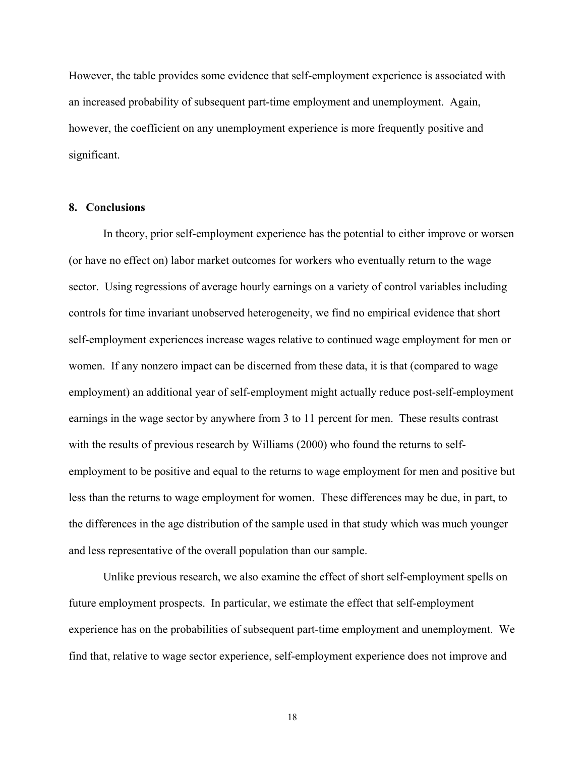However, the table provides some evidence that self-employment experience is associated with an increased probability of subsequent part-time employment and unemployment. Again, however, the coefficient on any unemployment experience is more frequently positive and significant.

## **8. Conclusions**

In theory, prior self-employment experience has the potential to either improve or worsen (or have no effect on) labor market outcomes for workers who eventually return to the wage sector. Using regressions of average hourly earnings on a variety of control variables including controls for time invariant unobserved heterogeneity, we find no empirical evidence that short self-employment experiences increase wages relative to continued wage employment for men or women. If any nonzero impact can be discerned from these data, it is that (compared to wage employment) an additional year of self-employment might actually reduce post-self-employment earnings in the wage sector by anywhere from 3 to 11 percent for men. These results contrast with the results of previous research by Williams (2000) who found the returns to selfemployment to be positive and equal to the returns to wage employment for men and positive but less than the returns to wage employment for women. These differences may be due, in part, to the differences in the age distribution of the sample used in that study which was much younger and less representative of the overall population than our sample.

Unlike previous research, we also examine the effect of short self-employment spells on future employment prospects. In particular, we estimate the effect that self-employment experience has on the probabilities of subsequent part-time employment and unemployment. We find that, relative to wage sector experience, self-employment experience does not improve and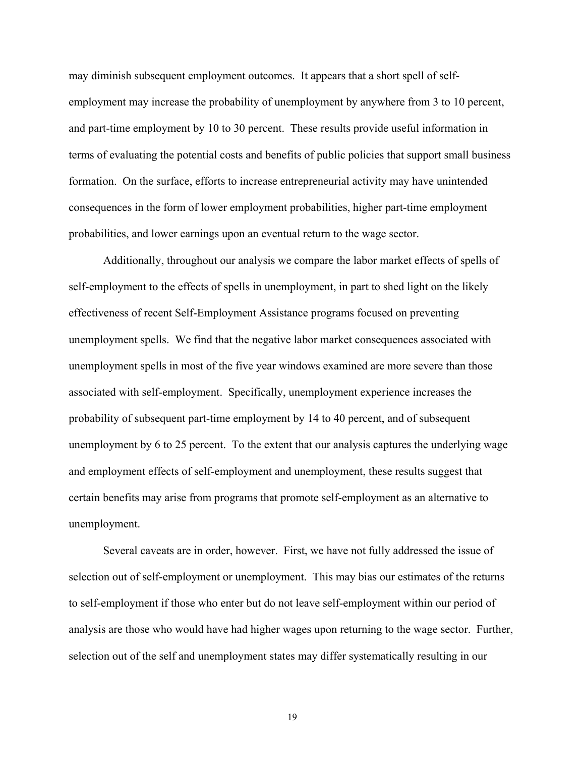may diminish subsequent employment outcomes. It appears that a short spell of selfemployment may increase the probability of unemployment by anywhere from 3 to 10 percent, and part-time employment by 10 to 30 percent. These results provide useful information in terms of evaluating the potential costs and benefits of public policies that support small business formation. On the surface, efforts to increase entrepreneurial activity may have unintended consequences in the form of lower employment probabilities, higher part-time employment probabilities, and lower earnings upon an eventual return to the wage sector.

Additionally, throughout our analysis we compare the labor market effects of spells of self-employment to the effects of spells in unemployment, in part to shed light on the likely effectiveness of recent Self-Employment Assistance programs focused on preventing unemployment spells. We find that the negative labor market consequences associated with unemployment spells in most of the five year windows examined are more severe than those associated with self-employment. Specifically, unemployment experience increases the probability of subsequent part-time employment by 14 to 40 percent, and of subsequent unemployment by 6 to 25 percent. To the extent that our analysis captures the underlying wage and employment effects of self-employment and unemployment, these results suggest that certain benefits may arise from programs that promote self-employment as an alternative to unemployment.

Several caveats are in order, however. First, we have not fully addressed the issue of selection out of self-employment or unemployment. This may bias our estimates of the returns to self-employment if those who enter but do not leave self-employment within our period of analysis are those who would have had higher wages upon returning to the wage sector. Further, selection out of the self and unemployment states may differ systematically resulting in our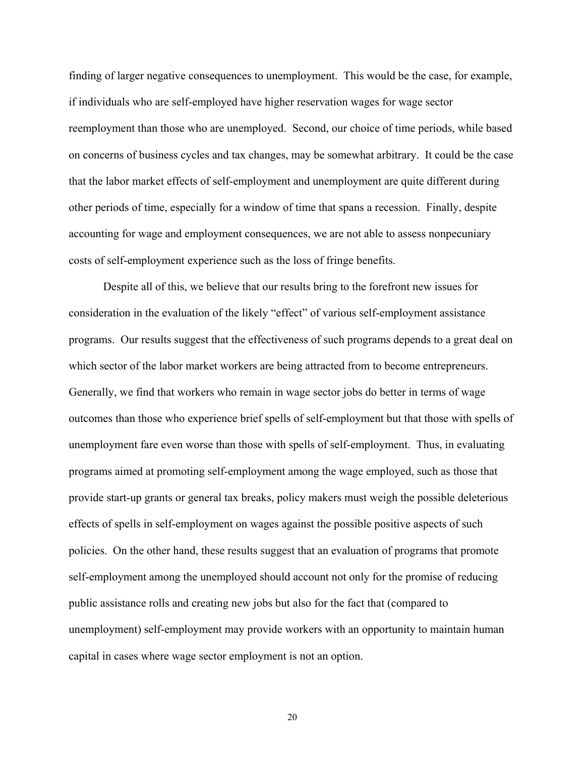finding of larger negative consequences to unemployment. This would be the case, for example, if individuals who are self-employed have higher reservation wages for wage sector reemployment than those who are unemployed. Second, our choice of time periods, while based on concerns of business cycles and tax changes, may be somewhat arbitrary. It could be the case that the labor market effects of self-employment and unemployment are quite different during other periods of time, especially for a window of time that spans a recession. Finally, despite accounting for wage and employment consequences, we are not able to assess nonpecuniary costs of self-employment experience such as the loss of fringe benefits.

Despite all of this, we believe that our results bring to the forefront new issues for consideration in the evaluation of the likely "effect" of various self-employment assistance programs. Our results suggest that the effectiveness of such programs depends to a great deal on which sector of the labor market workers are being attracted from to become entrepreneurs. Generally, we find that workers who remain in wage sector jobs do better in terms of wage outcomes than those who experience brief spells of self-employment but that those with spells of unemployment fare even worse than those with spells of self-employment. Thus, in evaluating programs aimed at promoting self-employment among the wage employed, such as those that provide start-up grants or general tax breaks, policy makers must weigh the possible deleterious effects of spells in self-employment on wages against the possible positive aspects of such policies. On the other hand, these results suggest that an evaluation of programs that promote self-employment among the unemployed should account not only for the promise of reducing public assistance rolls and creating new jobs but also for the fact that (compared to unemployment) self-employment may provide workers with an opportunity to maintain human capital in cases where wage sector employment is not an option.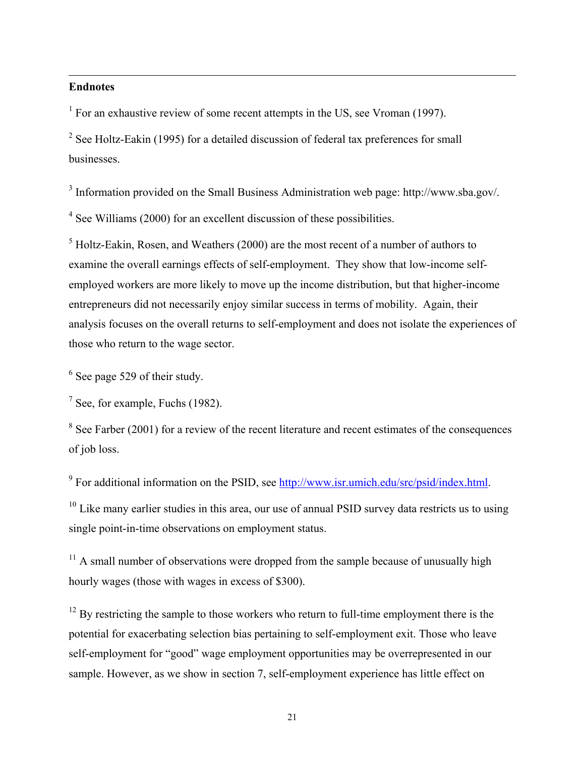## **Endnotes**

 $\overline{\phantom{a}}$ 

<sup>1</sup> For an exhaustive review of some recent attempts in the US, see Vroman (1997).

<sup>2</sup> See Holtz-Eakin (1995) for a detailed discussion of federal tax preferences for small businesses.

 $3$  Information provided on the Small Business Administration web page: http://www.sba.gov/.

<sup>4</sup> See Williams (2000) for an excellent discussion of these possibilities.

 $<sup>5</sup>$  Holtz-Eakin, Rosen, and Weathers (2000) are the most recent of a number of authors to</sup> examine the overall earnings effects of self-employment. They show that low-income selfemployed workers are more likely to move up the income distribution, but that higher-income entrepreneurs did not necessarily enjoy similar success in terms of mobility. Again, their analysis focuses on the overall returns to self-employment and does not isolate the experiences of those who return to the wage sector.

 $<sup>6</sup>$  See page 529 of their study.</sup>

 $<sup>7</sup>$  See, for example, Fuchs (1982).</sup>

 $8$  See Farber (2001) for a review of the recent literature and recent estimates of the consequences of job loss.

<sup>9</sup> For additional information on the PSID, see http://www.isr.umich.edu/src/psid/index.html.

 $10$  Like many earlier studies in this area, our use of annual PSID survey data restricts us to using single point-in-time observations on employment status.

 $11$  A small number of observations were dropped from the sample because of unusually high hourly wages (those with wages in excess of \$300).

 $12$  By restricting the sample to those workers who return to full-time employment there is the potential for exacerbating selection bias pertaining to self-employment exit. Those who leave self-employment for "good" wage employment opportunities may be overrepresented in our sample. However, as we show in section 7, self-employment experience has little effect on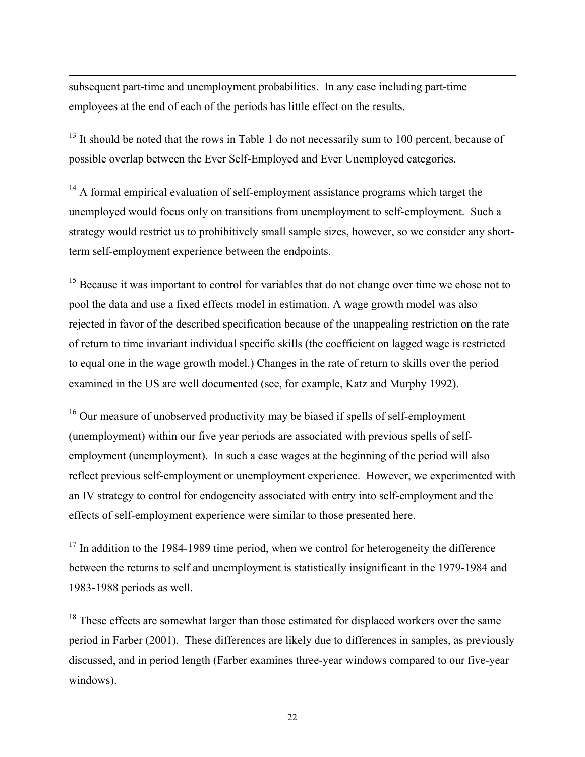subsequent part-time and unemployment probabilities. In any case including part-time employees at the end of each of the periods has little effect on the results.

 $\overline{\phantom{a}}$ 

<sup>13</sup> It should be noted that the rows in Table 1 do not necessarily sum to 100 percent, because of possible overlap between the Ever Self-Employed and Ever Unemployed categories.

<sup>14</sup> A formal empirical evaluation of self-employment assistance programs which target the unemployed would focus only on transitions from unemployment to self-employment. Such a strategy would restrict us to prohibitively small sample sizes, however, so we consider any shortterm self-employment experience between the endpoints.

<sup>15</sup> Because it was important to control for variables that do not change over time we chose not to pool the data and use a fixed effects model in estimation. A wage growth model was also rejected in favor of the described specification because of the unappealing restriction on the rate of return to time invariant individual specific skills (the coefficient on lagged wage is restricted to equal one in the wage growth model.) Changes in the rate of return to skills over the period examined in the US are well documented (see, for example, Katz and Murphy 1992).

 $16$  Our measure of unobserved productivity may be biased if spells of self-employment (unemployment) within our five year periods are associated with previous spells of selfemployment (unemployment). In such a case wages at the beginning of the period will also reflect previous self-employment or unemployment experience. However, we experimented with an IV strategy to control for endogeneity associated with entry into self-employment and the effects of self-employment experience were similar to those presented here.

 $17$  In addition to the 1984-1989 time period, when we control for heterogeneity the difference between the returns to self and unemployment is statistically insignificant in the 1979-1984 and 1983-1988 periods as well.

<sup>18</sup> These effects are somewhat larger than those estimated for displaced workers over the same period in Farber (2001). These differences are likely due to differences in samples, as previously discussed, and in period length (Farber examines three-year windows compared to our five-year windows).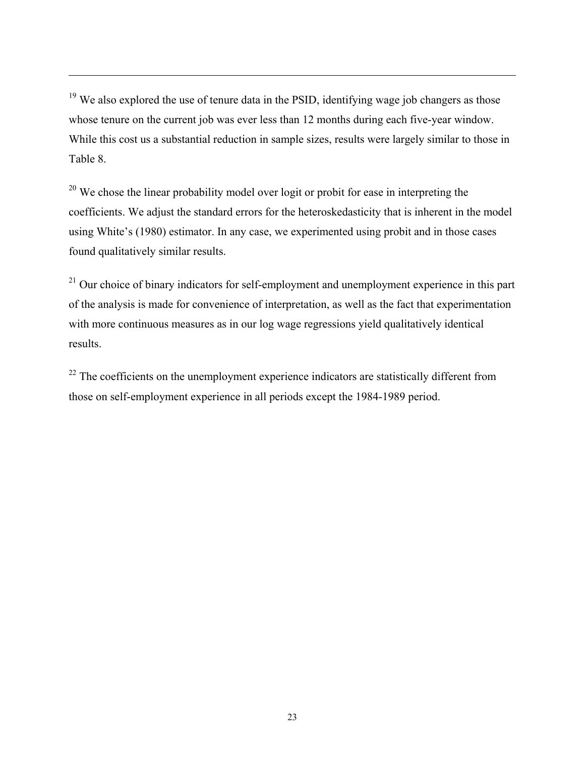$19$  We also explored the use of tenure data in the PSID, identifying wage job changers as those whose tenure on the current job was ever less than 12 months during each five-year window. While this cost us a substantial reduction in sample sizes, results were largely similar to those in Table 8.

 $\overline{\phantom{a}}$ 

<sup>20</sup> We chose the linear probability model over logit or probit for ease in interpreting the coefficients. We adjust the standard errors for the heteroskedasticity that is inherent in the model using White's (1980) estimator. In any case, we experimented using probit and in those cases found qualitatively similar results.

 $21$  Our choice of binary indicators for self-employment and unemployment experience in this part of the analysis is made for convenience of interpretation, as well as the fact that experimentation with more continuous measures as in our log wage regressions yield qualitatively identical results.

 $22$  The coefficients on the unemployment experience indicators are statistically different from those on self-employment experience in all periods except the 1984-1989 period.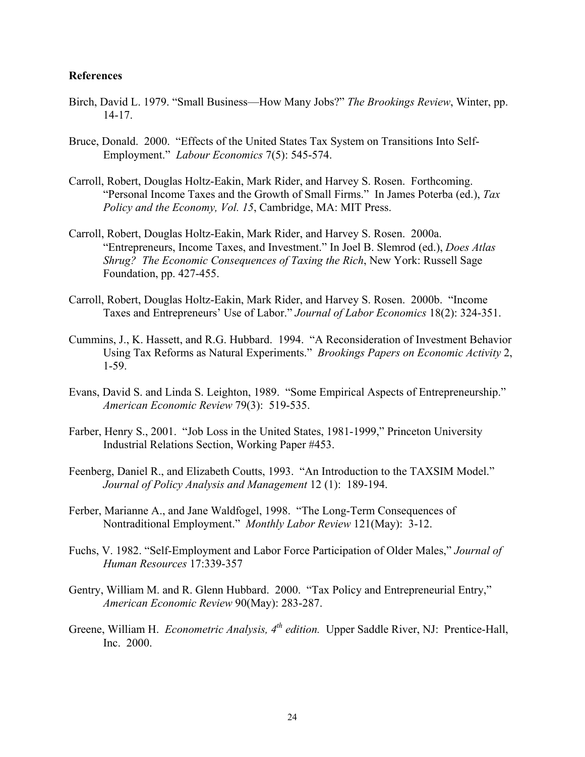## **References**

- Birch, David L. 1979. "Small Business—How Many Jobs?" *The Brookings Review*, Winter, pp. 14-17.
- Bruce, Donald. 2000. "Effects of the United States Tax System on Transitions Into Self- Employment." *Labour Economics* 7(5): 545-574.
- Carroll, Robert, Douglas Holtz-Eakin, Mark Rider, and Harvey S. Rosen. Forthcoming. "Personal Income Taxes and the Growth of Small Firms." In James Poterba (ed.), *Tax Policy and the Economy, Vol. 15*, Cambridge, MA: MIT Press.
- Carroll, Robert, Douglas Holtz-Eakin, Mark Rider, and Harvey S. Rosen. 2000a. "Entrepreneurs, Income Taxes, and Investment." In Joel B. Slemrod (ed.), *Does Atlas Shrug? The Economic Consequences of Taxing the Rich*, New York: Russell Sage Foundation, pp. 427-455.
- Carroll, Robert, Douglas Holtz-Eakin, Mark Rider, and Harvey S. Rosen. 2000b. "Income Taxes and Entrepreneurs' Use of Labor." *Journal of Labor Economics* 18(2): 324-351.
- Cummins, J., K. Hassett, and R.G. Hubbard. 1994. "A Reconsideration of Investment Behavior Using Tax Reforms as Natural Experiments." *Brookings Papers on Economic Activity* 2, 1-59.
- Evans, David S. and Linda S. Leighton, 1989. "Some Empirical Aspects of Entrepreneurship." *American Economic Review* 79(3): 519-535.
- Farber, Henry S., 2001. "Job Loss in the United States, 1981-1999," Princeton University Industrial Relations Section, Working Paper #453.
- Feenberg, Daniel R., and Elizabeth Coutts, 1993. "An Introduction to the TAXSIM Model." *Journal of Policy Analysis and Management* 12 (1): 189-194.
- Ferber, Marianne A., and Jane Waldfogel, 1998. "The Long-Term Consequences of Nontraditional Employment." *Monthly Labor Review* 121(May): 3-12.
- Fuchs, V. 1982. "Self-Employment and Labor Force Participation of Older Males," *Journal of Human Resources* 17:339-357
- Gentry, William M. and R. Glenn Hubbard. 2000. "Tax Policy and Entrepreneurial Entry,"  *American Economic Review* 90(May): 283-287.
- Greene, William H. *Econometric Analysis, 4<sup>th</sup> edition*. Upper Saddle River, NJ: Prentice-Hall, Inc. 2000.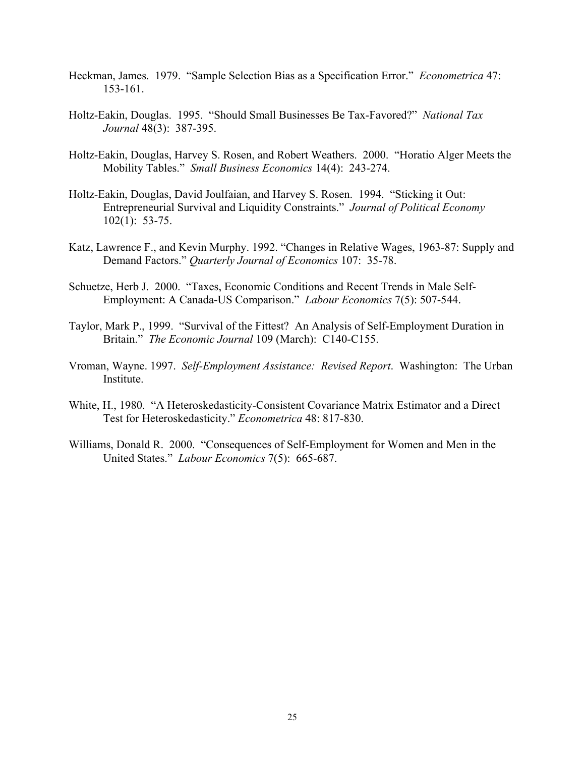- Heckman, James. 1979. "Sample Selection Bias as a Specification Error." *Econometrica* 47: 153-161.
- Holtz-Eakin, Douglas. 1995. "Should Small Businesses Be Tax-Favored?" *National Tax Journal* 48(3): 387-395.
- Holtz-Eakin, Douglas, Harvey S. Rosen, and Robert Weathers. 2000. "Horatio Alger Meets the Mobility Tables." *Small Business Economics* 14(4): 243-274.
- Holtz-Eakin, Douglas, David Joulfaian, and Harvey S. Rosen. 1994. "Sticking it Out: Entrepreneurial Survival and Liquidity Constraints." *Journal of Political Economy* 102(1): 53-75.
- Katz, Lawrence F., and Kevin Murphy. 1992. "Changes in Relative Wages, 1963-87: Supply and Demand Factors." *Quarterly Journal of Economics* 107: 35-78.
- Schuetze, Herb J. 2000. "Taxes, Economic Conditions and Recent Trends in Male Self-Employment: A Canada-US Comparison." *Labour Economics* 7(5): 507-544.
- Taylor, Mark P., 1999. "Survival of the Fittest? An Analysis of Self-Employment Duration in Britain." *The Economic Journal* 109 (March): C140-C155.
- Vroman, Wayne. 1997. *Self-Employment Assistance: Revised Report*. Washington: The Urban Institute.
- White, H., 1980. "A Heteroskedasticity-Consistent Covariance Matrix Estimator and a Direct Test for Heteroskedasticity." *Econometrica* 48: 817-830.
- Williams, Donald R. 2000. "Consequences of Self-Employment for Women and Men in the United States." *Labour Economics* 7(5): 665-687.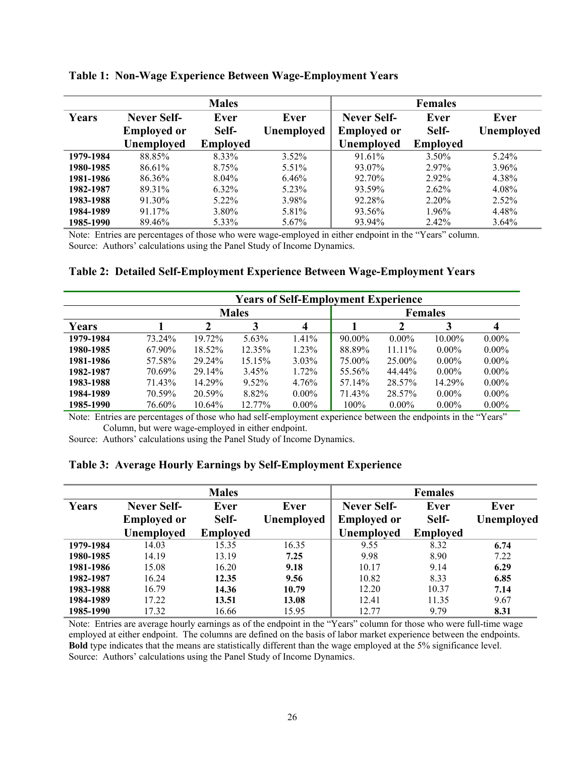|           |                    | <b>Males</b>    |                   |                    | <b>Females</b>  |            |
|-----------|--------------------|-----------------|-------------------|--------------------|-----------------|------------|
| Years     | Never Self-        | Ever            | Ever              | Never Self-        | Ever            | Ever       |
|           | <b>Employed or</b> | Self-           | <b>Unemployed</b> | <b>Employed or</b> | Self-           | Unemployed |
|           | Unemployed         | <b>Employed</b> |                   | Unemployed         | <b>Employed</b> |            |
| 1979-1984 | 88.85%             | 8.33%           | $3.52\%$          | 91.61%             | 3.50%           | $5.24\%$   |
| 1980-1985 | 86.61%             | 8.75%           | 5.51%             | 93.07%             | 2.97%           | 3.96%      |
| 1981-1986 | 86.36%             | $8.04\%$        | 6.46%             | 92.70%             | 2.92%           | 4.38%      |
| 1982-1987 | 89.31%             | 6.32%           | 5.23%             | 93.59%             | 2.62%           | 4.08%      |
| 1983-1988 | 91.30%             | $5.22\%$        | 3.98%             | 92.28%             | 2.20%           | $2.52\%$   |
| 1984-1989 | 91.17%             | 3.80%           | 5.81%             | 93.56%             | 1.96%           | 4.48%      |
| 1985-1990 | 89.46%             | 5.33%           | 5.67%             | 93.94%             | 2.42%           | $3.64\%$   |

**Table 1: Non-Wage Experience Between Wage-Employment Years** 

Note: Entries are percentages of those who were wage-employed in either endpoint in the "Years" column. Source: Authors' calculations using the Panel Study of Income Dynamics.

## **Table 2: Detailed Self-Employment Experience Between Wage-Employment Years**

|           |        |        |              |          | <b>Years of Self-Employment Experience</b> |           |           |          |  |  |
|-----------|--------|--------|--------------|----------|--------------------------------------------|-----------|-----------|----------|--|--|
|           |        |        | <b>Males</b> |          | <b>Females</b>                             |           |           |          |  |  |
| Years     |        |        |              | 4        |                                            |           |           |          |  |  |
| 1979-1984 | 73.24% | 19.72% | 5.63%        | $1.41\%$ | $90.00\%$                                  | $0.00\%$  | $10.00\%$ | $0.00\%$ |  |  |
| 1980-1985 | 67.90% | 18.52% | $12.35\%$    | $1.23\%$ | 88.89%                                     | $11.11\%$ | $0.00\%$  | $0.00\%$ |  |  |
| 1981-1986 | 57.58% | 29.24% | 15.15%       | $3.03\%$ | 75.00%                                     | $25.00\%$ | $0.00\%$  | $0.00\%$ |  |  |
| 1982-1987 | 70.69% | 29.14% | $3.45\%$     | 1.72%    | 55.56%                                     | 44.44%    | $0.00\%$  | $0.00\%$ |  |  |
| 1983-1988 | 71.43% | 14.29% | $9.52\%$     | $4.76\%$ | 57.14%                                     | 28.57%    | 14.29%    | $0.00\%$ |  |  |
| 1984-1989 | 70.59% | 20.59% | 8.82%        | $0.00\%$ | 71.43%                                     | 28.57%    | $0.00\%$  | $0.00\%$ |  |  |
| 1985-1990 | 76.60% | 10.64% | 12.77%       | $0.00\%$ | 100%                                       | $0.00\%$  | $0.00\%$  | $0.00\%$ |  |  |

Note: Entries are percentages of those who had self-employment experience between the endpoints in the "Years" Column, but were wage-employed in either endpoint.

Source: Authors' calculations using the Panel Study of Income Dynamics.

## **Table 3: Average Hourly Earnings by Self-Employment Experience**

|           |                    | <b>Males</b>    |            |                    | <b>Females</b>  |            |
|-----------|--------------------|-----------------|------------|--------------------|-----------------|------------|
| Years     | <b>Never Self-</b> | Ever            | Ever       | <b>Never Self-</b> | Ever            | Ever       |
|           | <b>Employed or</b> | Self-           | Unemployed | <b>Employed or</b> | Self-           | Unemployed |
|           | <b>Unemployed</b>  | <b>Employed</b> |            | <b>Unemployed</b>  | <b>Employed</b> |            |
| 1979-1984 | 14.03              | 15.35           | 16.35      | 9.55               | 8.32            | 6.74       |
| 1980-1985 | 14.19              | 13.19           | 7.25       | 9.98               | 8.90            | 7.22       |
| 1981-1986 | 15.08              | 16.20           | 9.18       | 10.17              | 9.14            | 6.29       |
| 1982-1987 | 16.24              | 12.35           | 9.56       | 10.82              | 8.33            | 6.85       |
| 1983-1988 | 16.79              | 14.36           | 10.79      | 12.20              | 10.37           | 7.14       |
| 1984-1989 | 17.22              | 13.51           | 13.08      | 12.41              | 11.35           | 9.67       |
| 1985-1990 | 17.32              | 16.66           | 15.95      | 12.77              | 9.79            | 8.31       |

Note: Entries are average hourly earnings as of the endpoint in the "Years" column for those who were full-time wage employed at either endpoint. The columns are defined on the basis of labor market experience between the endpoints. **Bold** type indicates that the means are statistically different than the wage employed at the 5% significance level. Source: Authors' calculations using the Panel Study of Income Dynamics.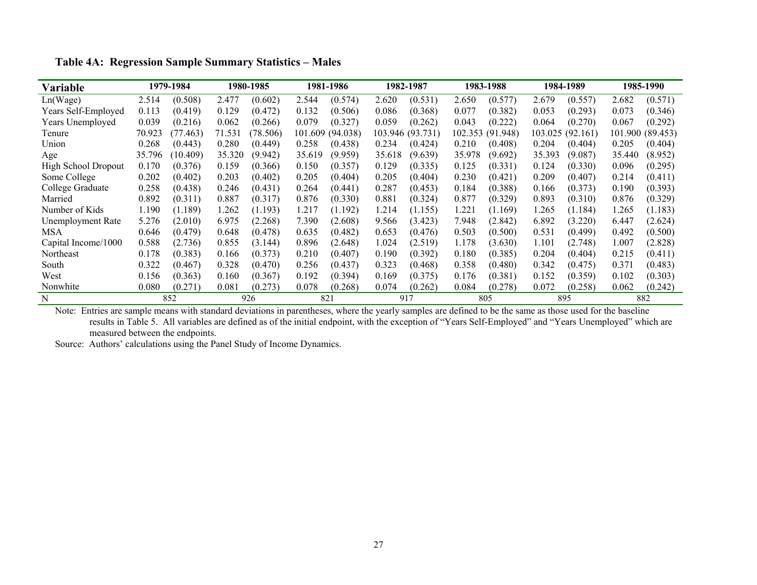| Variable                   |        | 1979-1984 |        | 1980-1985 |        | 1981-1986        |        | 1982-1987        |        | 1983-1988        |         | 1984-1989 |         | 1985-1990 |
|----------------------------|--------|-----------|--------|-----------|--------|------------------|--------|------------------|--------|------------------|---------|-----------|---------|-----------|
| Ln(Wage)                   | 2.514  | (0.508)   | 2.477  | (0.602)   | 2.544  | (0.574)          | 2.620  | (0.531)          | 2.650  | (0.577)          | 2.679   | (0.557)   | 2.682   | (0.571)   |
| Years Self-Employed        | 0.113  | (0.419)   | 0.129  | (0.472)   | 0.132  | (0.506)          | 0.086  | (0.368)          | 0.077  | (0.382)          | 0.053   | (0.293)   | 0.073   | (0.346)   |
| Years Unemployed           | 0.039  | (0.216)   | 0.062  | (0.266)   | 0.079  | (0.327)          | 0.059  | (0.262)          | 0.043  | (0.222)          | 0.064   | (0.270)   | 0.067   | (0.292)   |
| Tenure                     | 70.923 | (77.463)  | 71.531 | (78.506)  |        | 101.609 (94.038) |        | 103.946 (93.731) |        | 102.353 (91.948) | 103.025 | (92.161)  | 101.900 | (89.453)  |
| Union                      | 0.268  | (0.443)   | 0.280  | (0.449)   | 0.258  | (0.438)          | 0.234  | (0.424)          | 0.210  | (0.408)          | 0.204   | (0.404)   | 0.205   | (0.404)   |
| Age                        | 35.796 | (10.409)  | 35.320 | (9.942)   | 35.619 | (9.959)          | 35.618 | (9.639)          | 35.978 | (9.692)          | 35.393  | (9.087)   | 35.440  | (8.952)   |
| <b>High School Dropout</b> | 0.170  | (0.376)   | 0.159  | (0.366)   | 0.150  | (0.357)          | 0.129  | (0.335)          | 0.125  | (0.331)          | 0.124   | (0.330)   | 0.096   | (0.295)   |
| Some College               | 0.202  | (0.402)   | 0.203  | (0.402)   | 0.205  | (0.404)          | 0.205  | (0.404)          | 0.230  | (0.421)          | 0.209   | (0.407)   | 0.214   | (0.411)   |
| College Graduate           | 0.258  | (0.438)   | 0.246  | (0.431)   | 0.264  | (0.441)          | 0.287  | (0.453)          | 0.184  | (0.388)          | 0.166   | (0.373)   | 0.190   | (0.393)   |
| Married                    | 0.892  | (0.311)   | 0.887  | (0.317)   | 0.876  | (0.330)          | 0.881  | (0.324)          | 0.877  | (0.329)          | 0.893   | (0.310)   | 0.876   | (0.329)   |
| Number of Kids             | 1.190  | (1.189)   | 1.262  | (1.193)   | 1.217  | (1.192)          | 1.214  | (1.155)          | 1.221  | (1.169)          | 1.265   | (1.184)   | 1.265   | (1.183)   |
| Unemployment Rate          | 5.276  | (2.010)   | 6.975  | (2.268)   | 7.390  | (2.608)          | 9.566  | (3.423)          | 7.948  | (2.842)          | 6.892   | (3.220)   | 6.447   | (2.624)   |
| MSA                        | 0.646  | (0.479)   | 0.648  | (0.478)   | 0.635  | (0.482)          | 0.653  | (0.476)          | 0.503  | (0.500)          | 0.531   | (0.499)   | 0.492   | (0.500)   |
| Capital Income/1000        | 0.588  | (2.736)   | 0.855  | (3.144)   | 0.896  | (2.648)          | 1.024  | (2.519)          | 1.178  | (3.630)          | 1.101   | (2.748)   | 1.007   | (2.828)   |
| Northeast                  | 0.178  | (0.383)   | 0.166  | (0.373)   | 0.210  | (0.407)          | 0.190  | (0.392)          | 0.180  | (0.385)          | 0.204   | (0.404)   | 0.215   | (0.411)   |
| South                      | 0.322  | (0.467)   | 0.328  | (0.470)   | 0.256  | (0.437)          | 0.323  | (0.468)          | 0.358  | (0.480)          | 0.342   | (0.475)   | 0.371   | (0.483)   |
| West                       | 0.156  | (0.363)   | 0.160  | (0.367)   | 0.192  | (0.394)          | 0.169  | (0.375)          | 0.176  | (0.381)          | 0.152   | (0.359)   | 0.102   | (0.303)   |
| Nonwhite                   | 0.080  | (0.271)   | 0.081  | (0.273)   | 0.078  | (0.268)          | 0.074  | (0.262)          | 0.084  | (0.278)          | 0.072   | (0.258)   | 0.062   | (0.242)   |
| N                          |        | 852       |        | 926       |        | 821              | 917    |                  |        | 805              |         | 895       |         | 882       |

**Table 4A: Regression Sample Summary Statistics – Males** 

Note: Entries are sample means with standard deviations in parentheses, where the yearly samples are defined to be the same as those used for the baseline results in Table 5. All variables are defined as of the initial endpoint, with the exception of "Years Self-Employed" and "Years Unemployed" which are measured between the endpoints.

Source: Authors' calculations using the Panel Study of Income Dynamics.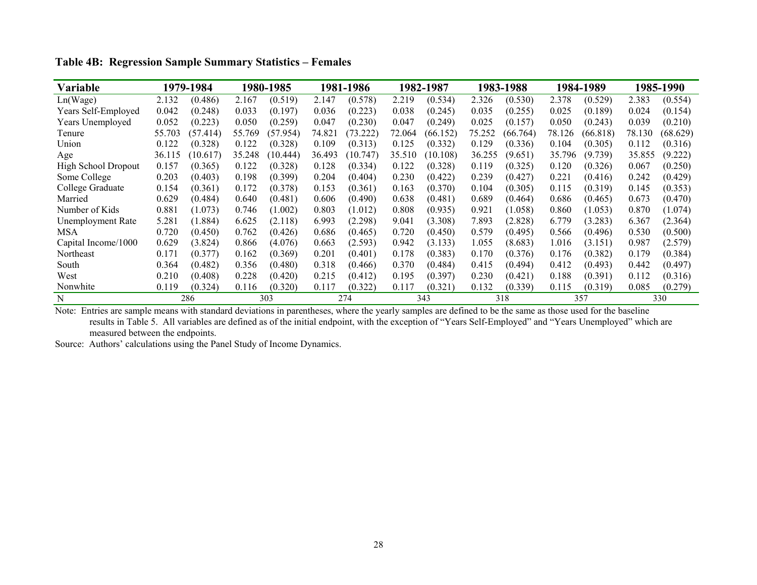| Variable                   |        | 1979-1984 |        | 1980-1985 |        | 1981-1986 |        | 1982-1987 |        | 1983-1988 |        | 1984-1989 |        | 1985-1990 |
|----------------------------|--------|-----------|--------|-----------|--------|-----------|--------|-----------|--------|-----------|--------|-----------|--------|-----------|
| Ln(Wage)                   | 2.132  | (0.486)   | 2.167  | (0.519)   | 2.147  | (0.578)   | 2.219  | (0.534)   | 2.326  | (0.530)   | 2.378  | (0.529)   | 2.383  | (0.554)   |
| Years Self-Employed        | 0.042  | (0.248)   | 0.033  | (0.197)   | 0.036  | (0.223)   | 0.038  | (0.245)   | 0.035  | (0.255)   | 0.025  | (0.189)   | 0.024  | (0.154)   |
| Years Unemployed           | 0.052  | (0.223)   | 0.050  | (0.259)   | 0.047  | (0.230)   | 0.047  | (0.249)   | 0.025  | (0.157)   | 0.050  | (0.243)   | 0.039  | (0.210)   |
| Tenure                     | 55.703 | (57.414)  | 55.769 | (57.954)  | 74.821 | (73.222)  | 72.064 | (66.152)  | 75.252 | (66.764)  | 78.126 | (66.818)  | 78.130 | (68.629)  |
| Union                      | 0.122  | (0.328)   | 0.122  | (0.328)   | 0.109  | (0.313)   | 0.125  | (0.332)   | 0.129  | (0.336)   | 0.104  | (0.305)   | 0.112  | (0.316)   |
| Age                        | 36.115 | (10.617)  | 35.248 | (10.444)  | 36.493 | (10.747)  | 35.510 | (10.108)  | 36.255 | (9.651)   | 35.796 | (9.739)   | 35.855 | (9.222)   |
| <b>High School Dropout</b> | 0.157  | (0.365)   | 0.122  | (0.328)   | 0.128  | (0.334)   | 0.122  | (0.328)   | 0.119  | (0.325)   | 0.120  | (0.326)   | 0.067  | (0.250)   |
| Some College               | 0.203  | (0.403)   | 0.198  | (0.399)   | 0.204  | (0.404)   | 0.230  | (0.422)   | 0.239  | (0.427)   | 0.221  | (0.416)   | 0.242  | (0.429)   |
| College Graduate           | 0.154  | (0.361)   | 0.172  | (0.378)   | 0.153  | (0.361)   | 0.163  | (0.370)   | 0.104  | (0.305)   | 0.115  | (0.319)   | 0.145  | (0.353)   |
| Married                    | 0.629  | (0.484)   | 0.640  | (0.481)   | 0.606  | (0.490)   | 0.638  | (0.481)   | 0.689  | (0.464)   | 0.686  | (0.465)   | 0.673  | (0.470)   |
| Number of Kids             | 0.881  | (1.073)   | 0.746  | (1.002)   | 0.803  | (1.012)   | 0.808  | (0.935)   | 0.921  | (1.058)   | 0.860  | (1.053)   | 0.870  | (1.074)   |
| Unemployment Rate          | 5.281  | (1.884)   | 6.625  | (2.118)   | 6.993  | (2.298)   | 9.041  | (3.308)   | 7.893  | (2.828)   | 6.779  | (3.283)   | 6.367  | (2.364)   |
| MSA                        | 0.720  | (0.450)   | 0.762  | (0.426)   | 0.686  | (0.465)   | 0.720  | (0.450)   | 0.579  | (0.495)   | 0.566  | (0.496)   | 0.530  | (0.500)   |
| Capital Income/1000        | 0.629  | (3.824)   | 0.866  | (4.076)   | 0.663  | (2.593)   | 0.942  | (3.133)   | 1.055  | (8.683)   | 1.016  | (3.151)   | 0.987  | (2.579)   |
| Northeast                  | 0.171  | (0.377)   | 0.162  | (0.369)   | 0.201  | (0.401)   | 0.178  | (0.383)   | 0.170  | (0.376)   | 0.176  | (0.382)   | 0.179  | (0.384)   |
| South                      | 0.364  | (0.482)   | 0.356  | (0.480)   | 0.318  | (0.466)   | 0.370  | (0.484)   | 0.415  | (0.494)   | 0.412  | (0.493)   | 0.442  | (0.497)   |
| West                       | 0.210  | (0.408)   | 0.228  | (0.420)   | 0.215  | (0.412)   | 0.195  | (0.397)   | 0.230  | (0.421)   | 0.188  | (0.391)   | 0.112  | (0.316)   |
| Nonwhite                   | 0.119  | (0.324)   | 0.116  | (0.320)   | 0.117  | (0.322)   | 0.117  | (0.321)   | 0.132  | (0.339)   | 0.115  | (0.319)   | 0.085  | (0.279)   |
| N                          |        | 286       |        | 303       |        | 274       |        | 343       |        | 318       |        | 357       |        | 330       |

**Table 4B: Regression Sample Summary Statistics – Females** 

Note: Entries are sample means with standard deviations in parentheses, where the yearly samples are defined to be the same as those used for the baseline results in Table 5. All variables are defined as of the initial endpoint, with the exception of "Years Self-Employed" and "Years Unemployed" which are measured between the endpoints.

Source: Authors' calculations using the Panel Study of Income Dynamics.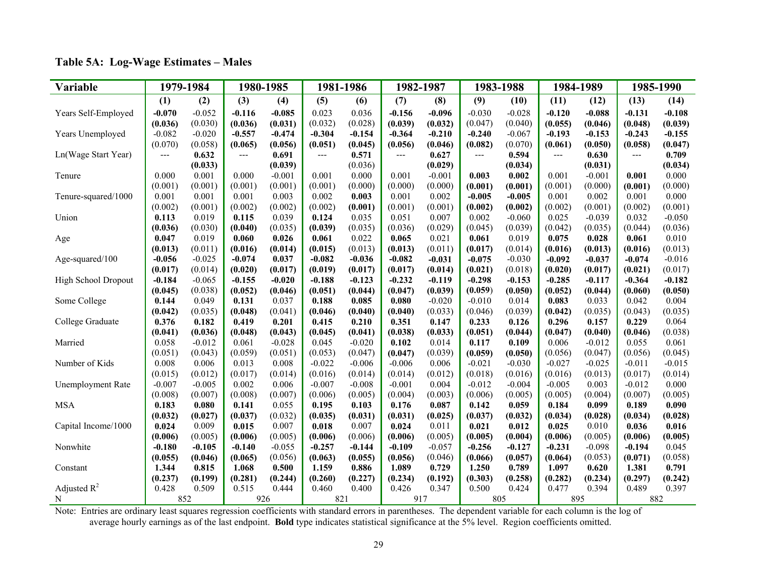| Variable                 |          | 1979-1984 |          | 1980-1985 |          | 1981-1986 |          | 1982-1987 |          | 1983-1988 |          | 1984-1989 |                          | 1985-1990 |
|--------------------------|----------|-----------|----------|-----------|----------|-----------|----------|-----------|----------|-----------|----------|-----------|--------------------------|-----------|
|                          | (1)      | (2)       | (3)      | (4)       | (5)      | (6)       | (7)      | (8)       | (9)      | (10)      | (11)     | (12)      | (13)                     | (14)      |
| Years Self-Employed      | $-0.070$ | $-0.052$  | $-0.116$ | $-0.085$  | 0.023    | 0.036     | $-0.156$ | $-0.096$  | $-0.030$ | $-0.028$  | $-0.120$ | $-0.088$  | $-0.131$                 | $-0.108$  |
|                          | (0.036)  | (0.030)   | (0.036)  | (0.031)   | (0.032)  | (0.028)   | (0.039)  | (0.032)   | (0.047)  | (0.040)   | (0.055)  | (0.046)   | (0.048)                  | (0.039)   |
| Years Unemployed         | $-0.082$ | $-0.020$  | $-0.557$ | $-0.474$  | $-0.304$ | $-0.154$  | $-0.364$ | $-0.210$  | $-0.240$ | $-0.067$  | $-0.193$ | $-0.153$  | $-0.243$                 | $-0.155$  |
|                          | (0.070)  | (0.058)   | (0.065)  | (0.056)   | (0.051)  | (0.045)   | (0.056)  | (0.046)   | (0.082)  | (0.070)   | (0.061)  | (0.050)   | (0.058)                  | (0.047)   |
| Ln(Wage Start Year)      | ---      | 0.632     | $---$    | 0.691     | ---      | 0.571     | ---      | 0.627     | $---$    | 0.594     | ---      | 0.630     | $\hspace{0.05cm} \ldots$ | 0.709     |
|                          |          | (0.033)   |          | (0.039)   |          | (0.036)   |          | (0.029)   |          | (0.034)   |          | (0.031)   |                          | (0.034)   |
| Tenure                   | 0.000    | 0.001     | 0.000    | $-0.001$  | 0.001    | 0.000     | 0.001    | $-0.001$  | 0.003    | 0.002     | 0.001    | $-0.001$  | 0.001                    | 0.000     |
|                          | (0.001)  | (0.001)   | (0.001)  | (0.001)   | (0.001)  | (0.000)   | (0.000)  | (0.000)   | (0.001)  | (0.001)   | (0.001)  | (0.000)   | (0.001)                  | (0.000)   |
| Tenure-squared/1000      | 0.001    | 0.001     | 0.001    | 0.003     | 0.002    | 0.003     | 0.001    | 0.002     | $-0.005$ | $-0.005$  | 0.001    | 0.002     | 0.001                    | 0.000     |
|                          | (0.002)  | (0.001)   | (0.002)  | (0.002)   | (0.002)  | (0.001)   | (0.001)  | (0.001)   | (0.002)  | (0.002)   | (0.002)  | (0.001)   | (0.002)                  | (0.001)   |
| Union                    | 0.113    | 0.019     | 0.115    | 0.039     | 0.124    | 0.035     | 0.051    | 0.007     | 0.002    | $-0.060$  | 0.025    | $-0.039$  | 0.032                    | $-0.050$  |
|                          | (0.036)  | (0.030)   | (0.040)  | (0.035)   | (0.039)  | (0.035)   | (0.036)  | (0.029)   | (0.045)  | (0.039)   | (0.042)  | (0.035)   | (0.044)                  | (0.036)   |
| Age                      | 0.047    | 0.019     | 0.060    | 0.026     | 0.061    | 0.022     | 0.065    | 0.021     | 0.061    | 0.019     | 0.075    | 0.028     | 0.061                    | 0.010     |
|                          | (0.013)  | (0.011)   | (0.016)  | (0.014)   | (0.015)  | (0.013)   | (0.013)  | (0.011)   | (0.017)  | (0.014)   | (0.016)  | (0.013)   | (0.016)                  | (0.013)   |
| Age-squared/100          | $-0.056$ | $-0.025$  | $-0.074$ | 0.037     | $-0.082$ | $-0.036$  | $-0.082$ | $-0.031$  | $-0.075$ | $-0.030$  | $-0.092$ | $-0.037$  | $-0.074$                 | $-0.016$  |
|                          | (0.017)  | (0.014)   | (0.020)  | (0.017)   | (0.019)  | (0.017)   | (0.017)  | (0.014)   | (0.021)  | (0.018)   | (0.020)  | (0.017)   | (0.021)                  | (0.017)   |
| High School Dropout      | $-0.184$ | $-0.065$  | $-0.155$ | $-0.020$  | $-0.188$ | $-0.123$  | $-0.232$ | $-0.119$  | $-0.298$ | $-0.153$  | $-0.285$ | $-0.117$  | $-0.364$                 | $-0.182$  |
|                          | (0.045)  | (0.038)   | (0.052)  | (0.046)   | (0.051)  | (0.044)   | (0.047)  | (0.039)   | (0.059)  | (0.050)   | (0.052)  | (0.044)   | (0.060)                  | (0.050)   |
| Some College             | 0.144    | 0.049     | 0.131    | 0.037     | 0.188    | 0.085     | 0.080    | $-0.020$  | $-0.010$ | 0.014     | 0.083    | 0.033     | 0.042                    | 0.004     |
|                          | (0.042)  | (0.035)   | (0.048)  | (0.041)   | (0.046)  | (0.040)   | (0.040)  | (0.033)   | (0.046)  | (0.039)   | (0.042)  | (0.035)   | (0.043)                  | (0.035)   |
| College Graduate         | 0.376    | 0.182     | 0.419    | 0.201     | 0.415    | 0.210     | 0.351    | 0.147     | 0.233    | 0.126     | 0.296    | 0.157     | 0.229                    | 0.064     |
|                          | (0.041)  | (0.036)   | (0.048)  | (0.043)   | (0.045)  | (0.041)   | (0.038)  | (0.033)   | (0.051)  | (0.044)   | (0.047)  | (0.040)   | (0.046)                  | (0.038)   |
| Married                  | 0.058    | $-0.012$  | 0.061    | $-0.028$  | 0.045    | $-0.020$  | 0.102    | 0.014     | 0.117    | 0.109     | 0.006    | $-0.012$  | 0.055                    | 0.061     |
|                          | (0.051)  | (0.043)   | (0.059)  | (0.051)   | (0.053)  | (0.047)   | (0.047)  | (0.039)   | (0.059)  | (0.050)   | (0.056)  | (0.047)   | (0.056)                  | (0.045)   |
| Number of Kids           | 0.008    | 0.006     | 0.013    | 0.008     | $-0.022$ | $-0.006$  | $-0.006$ | 0.006     | $-0.021$ | $-0.030$  | $-0.027$ | $-0.025$  | $-0.011$                 | $-0.015$  |
|                          | (0.015)  | (0.012)   | (0.017)  | (0.014)   | (0.016)  | (0.014)   | (0.014)  | (0.012)   | (0.018)  | (0.016)   | (0.016)  | (0.013)   | (0.017)                  | (0.014)   |
| <b>Unemployment Rate</b> | $-0.007$ | $-0.005$  | 0.002    | 0.006     | $-0.007$ | $-0.008$  | $-0.001$ | 0.004     | $-0.012$ | $-0.004$  | $-0.005$ | 0.003     | $-0.012$                 | 0.000     |
|                          | (0.008)  | (0.007)   | (0.008)  | (0.007)   | (0.006)  | (0.005)   | (0.004)  | (0.003)   | (0.006)  | (0.005)   | (0.005)  | (0.004)   | (0.007)                  | (0.005)   |
| <b>MSA</b>               | 0.183    | 0.080     | 0.141    | 0.055     | 0.195    | 0.103     | 0.176    | 0.087     | 0.142    | 0.059     | 0.184    | 0.099     | 0.189                    | 0.090     |
|                          | (0.032)  | (0.027)   | (0.037)  | (0.032)   | (0.035)  | (0.031)   | (0.031)  | (0.025)   | (0.037)  | (0.032)   | (0.034)  | (0.028)   | (0.034)                  | (0.028)   |
| Capital Income/1000      | 0.024    | 0.009     | 0.015    | 0.007     | 0.018    | 0.007     | 0.024    | 0.011     | 0.021    | 0.012     | 0.025    | 0.010     | 0.036                    | 0.016     |
|                          | (0.006)  | (0.005)   | (0.006)  | (0.005)   | (0.006)  | (0.006)   | (0.006)  | (0.005)   | (0.005)  | (0.004)   | (0.006)  | (0.005)   | (0.006)                  | (0.005)   |
| Nonwhite                 | $-0.180$ | $-0.105$  | $-0.140$ | $-0.055$  | $-0.257$ | $-0.144$  | $-0.109$ | $-0.057$  | $-0.256$ | $-0.127$  | $-0.231$ | $-0.098$  | $-0.194$                 | 0.045     |
|                          | (0.055)  | (0.046)   | (0.065)  | (0.056)   | (0.063)  | (0.055)   | (0.056)  | (0.046)   | (0.066)  | (0.057)   | (0.064)  | (0.053)   | (0.071)                  | (0.058)   |
| Constant                 | 1.344    | 0.815     | 1.068    | 0.500     | 1.159    | 0.886     | 1.089    | 0.729     | 1.250    | 0.789     | 1.097    | 0.620     | 1.381                    | 0.791     |
|                          | (0.237)  | (0.199)   | (0.281)  | (0.244)   | (0.260)  | (0.227)   | (0.234)  | (0.192)   | (0.303)  | (0.258)   | (0.282)  | (0.234)   | (0.297)                  | (0.242)   |
| Adjusted $R^2$           | 0.428    | 0.509     | 0.515    | 0.444     | 0.460    | 0.400     | 0.426    | 0.347     | 0.500    | 0.424     | 0.477    | 0.394     | 0.489                    | 0.397     |
| N                        |          | 852       |          | 926       | 821      |           | 917      |           |          | 805       |          | 895       | 882                      |           |

## **Table 5A: Log-Wage Estimates – Males**

Note: Entries are ordinary least squares regression coefficients with standard errors in parentheses. The dependent variable for each column is the log of average hourly earnings as of the last endpoint. **Bold** type indicates statistical significance at the 5% level. Region coefficients omitted.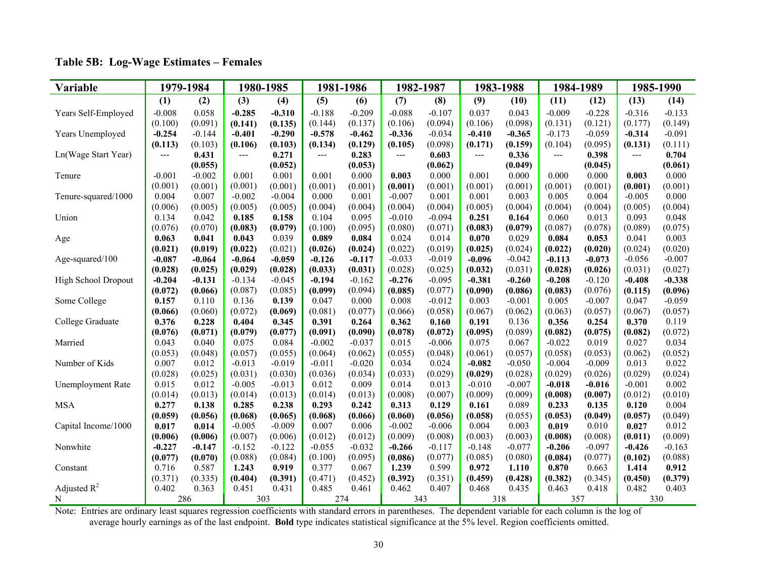| Variable                 |          | 1979-1984 |          | 1980-1985 |          | 1981-1986 |          | 1982-1987 |          | 1983-1988 |          | 1984-1989 | 1985-1990 |          |
|--------------------------|----------|-----------|----------|-----------|----------|-----------|----------|-----------|----------|-----------|----------|-----------|-----------|----------|
|                          | (1)      | (2)       | (3)      | (4)       | (5)      | (6)       | (7)      | (8)       | (9)      | (10)      | (11)     | (12)      | (13)      | (14)     |
| Years Self-Employed      | $-0.008$ | 0.058     | $-0.285$ | $-0.310$  | $-0.188$ | $-0.209$  | $-0.088$ | $-0.107$  | 0.037    | 0.043     | $-0.009$ | $-0.228$  | $-0.316$  | $-0.133$ |
|                          | (0.100)  | (0.091)   | (0.141)  | (0.135)   | (0.144)  | (0.137)   | (0.106)  | (0.094)   | (0.106)  | (0.098)   | (0.131)  | (0.121)   | (0.177)   | (0.149)  |
| Years Unemployed         | $-0.254$ | $-0.144$  | $-0.401$ | $-0.290$  | $-0.578$ | $-0.462$  | $-0.336$ | $-0.034$  | $-0.410$ | $-0.365$  | $-0.173$ | $-0.059$  | $-0.314$  | $-0.091$ |
|                          | (0.113)  | (0.103)   | (0.106)  | (0.103)   | (0.134)  | (0.129)   | (0.105)  | (0.098)   | (0.171)  | (0.159)   | (0.104)  | (0.095)   | (0.131)   | (0.111)  |
| Ln(Wage Start Year)      | ---      | 0.431     | ---      | 0.271     | ---      | 0.283     | ---      | 0.603     | $---$    | 0.336     | $--$     | 0.398     | ---       | 0.704    |
|                          |          | (0.055)   |          | (0.052)   |          | (0.053)   |          | (0.062)   |          | (0.049)   |          | (0.045)   |           | (0.061)  |
| Tenure                   | $-0.001$ | $-0.002$  | 0.001    | 0.001     | 0.001    | 0.000     | 0.003    | 0.000     | 0.001    | 0.000     | 0.000    | 0.000     | 0.003     | 0.000    |
|                          | (0.001)  | (0.001)   | (0.001)  | (0.001)   | (0.001)  | (0.001)   | (0.001)  | (0.001)   | (0.001)  | (0.001)   | (0.001)  | (0.001)   | (0.001)   | (0.001)  |
| Tenure-squared/1000      | 0.004    | 0.007     | $-0.002$ | $-0.004$  | 0.000    | 0.001     | $-0.007$ | 0.001     | 0.001    | 0.003     | 0.005    | 0.004     | $-0.005$  | 0.000    |
|                          | (0.006)  | (0.005)   | (0.005)  | (0.005)   | (0.004)  | (0.004)   | (0.004)  | (0.004)   | (0.005)  | (0.004)   | (0.004)  | (0.004)   | (0.005)   | (0.004)  |
| Union                    | 0.134    | 0.042     | 0.185    | 0.158     | 0.104    | 0.095     | $-0.010$ | $-0.094$  | 0.251    | 0.164     | 0.060    | 0.013     | 0.093     | 0.048    |
|                          | (0.076)  | (0.070)   | (0.083)  | (0.079)   | (0.100)  | (0.095)   | (0.080)  | (0.071)   | (0.083)  | (0.079)   | (0.087)  | (0.078)   | (0.089)   | (0.075)  |
| Age                      | 0.063    | 0.041     | 0.043    | 0.039     | 0.089    | 0.084     | 0.024    | 0.014     | 0.070    | 0.029     | 0.084    | 0.053     | 0.041     | 0.003    |
|                          | (0.021)  | (0.019)   | (0.022)  | (0.021)   | (0.026)  | (0.024)   | (0.022)  | (0.019)   | (0.025)  | (0.024)   | (0.022)  | (0.020)   | (0.024)   | (0.020)  |
| Age-squared/100          | $-0.087$ | $-0.064$  | $-0.064$ | $-0.059$  | $-0.126$ | $-0.117$  | $-0.033$ | $-0.019$  | $-0.096$ | $-0.042$  | $-0.113$ | $-0.073$  | $-0.056$  | $-0.007$ |
|                          | (0.028)  | (0.025)   | (0.029)  | (0.028)   | (0.033)  | (0.031)   | (0.028)  | (0.025)   | (0.032)  | (0.031)   | (0.028)  | (0.026)   | (0.031)   | (0.027)  |
| High School Dropout      | $-0.204$ | $-0.131$  | $-0.134$ | $-0.045$  | $-0.194$ | $-0.162$  | $-0.276$ | $-0.095$  | $-0.381$ | $-0.260$  | $-0.208$ | $-0.120$  | $-0.408$  | $-0.338$ |
|                          | (0.072)  | (0.066)   | (0.087)  | (0.085)   | (0.099)  | (0.094)   | (0.085)  | (0.077)   | (0.090)  | (0.086)   | (0.083)  | (0.076)   | (0.115)   | (0.096)  |
| Some College             | 0.157    | 0.110     | 0.136    | 0.139     | 0.047    | 0.000     | 0.008    | $-0.012$  | 0.003    | $-0.001$  | 0.005    | $-0.007$  | 0.047     | $-0.059$ |
|                          | (0.066)  | (0.060)   | (0.072)  | (0.069)   | (0.081)  | (0.077)   | (0.066)  | (0.058)   | (0.067)  | (0.062)   | (0.063)  | (0.057)   | (0.067)   | (0.057)  |
| College Graduate         | 0.376    | 0.228     | 0.404    | 0.345     | 0.391    | 0.264     | 0.362    | 0.160     | 0.191    | 0.136     | 0.356    | 0.254     | 0.370     | 0.119    |
|                          | (0.076)  | (0.071)   | (0.079)  | (0.077)   | (0.091)  | (0.090)   | (0.078)  | (0.072)   | (0.095)  | (0.089)   | (0.082)  | (0.075)   | (0.082)   | (0.072)  |
| Married                  | 0.043    | 0.040     | 0.075    | 0.084     | $-0.002$ | $-0.037$  | 0.015    | $-0.006$  | 0.075    | 0.067     | $-0.022$ | 0.019     | 0.027     | 0.034    |
|                          | (0.053)  | (0.048)   | (0.057)  | (0.055)   | (0.064)  | (0.062)   | (0.055)  | (0.048)   | (0.061)  | (0.057)   | (0.058)  | (0.053)   | (0.062)   | (0.052)  |
| Number of Kids           | 0.007    | 0.012     | $-0.013$ | $-0.019$  | $-0.011$ | $-0.020$  | 0.034    | 0.024     | $-0.082$ | $-0.050$  | $-0.004$ | $-0.009$  | 0.013     | 0.022    |
|                          | (0.028)  | (0.025)   | (0.031)  | (0.030)   | (0.036)  | (0.034)   | (0.033)  | (0.029)   | (0.029)  | (0.028)   | (0.029)  | (0.026)   | (0.029)   | (0.024)  |
| <b>Unemployment Rate</b> | 0.015    | 0.012     | $-0.005$ | $-0.013$  | 0.012    | 0.009     | 0.014    | 0.013     | $-0.010$ | $-0.007$  | $-0.018$ | $-0.016$  | $-0.001$  | 0.002    |
|                          | (0.014)  | (0.013)   | (0.014)  | (0.013)   | (0.014)  | (0.013)   | (0.008)  | (0.007)   | (0.009)  | (0.009)   | (0.008)  | (0.007)   | (0.012)   | (0.010)  |
| <b>MSA</b>               | 0.277    | 0.138     | 0.285    | 0.238     | 0.293    | 0.242     | 0.313    | 0.129     | 0.161    | 0.089     | 0.233    | 0.135     | 0.120     | 0.004    |
|                          | (0.059)  | (0.056)   | (0.068)  | (0.065)   | (0.068)  | (0.066)   | (0.060)  | (0.056)   | (0.058)  | (0.055)   | (0.053)  | (0.049)   | (0.057)   | (0.049)  |
| Capital Income/1000      | 0.017    | 0.014     | $-0.005$ | $-0.009$  | 0.007    | 0.006     | $-0.002$ | $-0.006$  | 0.004    | 0.003     | 0.019    | 0.010     | 0.027     | 0.012    |
|                          | (0.006)  | (0.006)   | (0.007)  | (0.006)   | (0.012)  | (0.012)   | (0.009)  | (0.008)   | (0.003)  | (0.003)   | (0.008)  | (0.008)   | (0.011)   | (0.009)  |
| Nonwhite                 | $-0.227$ | $-0.147$  | $-0.152$ | $-0.122$  | $-0.055$ | $-0.032$  | $-0.266$ | $-0.117$  | $-0.148$ | $-0.077$  | $-0.206$ | $-0.097$  | $-0.426$  | $-0.163$ |
|                          | (0.077)  | (0.070)   | (0.088)  | (0.084)   | (0.100)  | (0.095)   | (0.086)  | (0.077)   | (0.085)  | (0.080)   | (0.084)  | (0.077)   | (0.102)   | (0.088)  |
| Constant                 | 0.716    | 0.587     | 1.243    | 0.919     | 0.377    | 0.067     | 1.239    | 0.599     | 0.972    | 1.110     | 0.870    | 0.663     | 1.414     | 0.912    |
|                          | (0.371)  | (0.335)   | (0.404)  | (0.391)   | (0.471)  | (0.452)   | (0.392)  | (0.351)   | (0.459)  | (0.428)   | (0.382)  | (0.345)   | (0.450)   | (0.379)  |
| Adjusted $R^2$           | 0.402    | 0.363     | 0.451    | 0.431     | 0.485    | 0.461     | 0.462    | 0.407     | 0.468    | 0.435     | 0.463    | 0.418     | 0.482     | 0.403    |
| N                        |          | 286       | 303      |           |          | 274       |          | 343       |          | 318       |          | 357       | 330       |          |

**Table 5B: Log-Wage Estimates – Females** 

Note: Entries are ordinary least squares regression coefficients with standard errors in parentheses. The dependent variable for each column is the log of average hourly earnings as of the last endpoint. **Bold** type indicates statistical significance at the 5% level. Region coefficients omitted.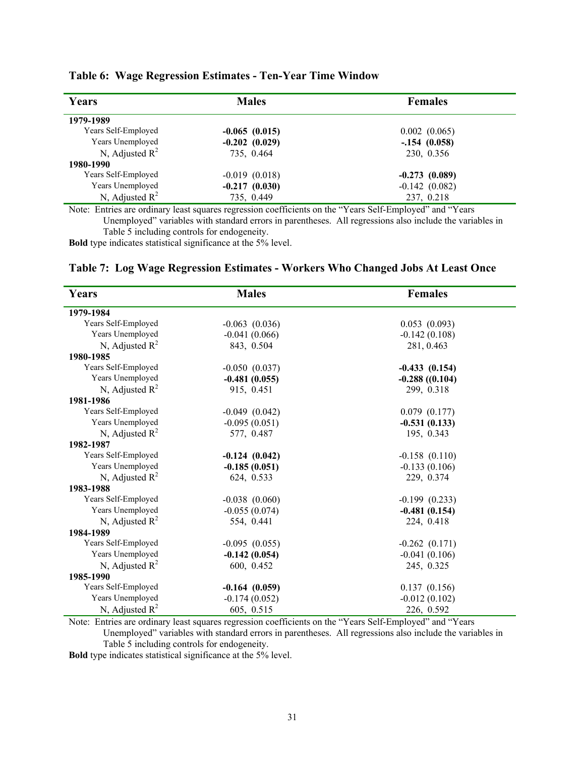| Years               | <b>Males</b>         | <b>Females</b>  |
|---------------------|----------------------|-----------------|
| 1979-1989           |                      |                 |
| Years Self-Employed | $-0.065(0.015)$      | 0.002(0.065)    |
| Years Unemployed    | $-0.202(0.029)$      | $-.154(0.058)$  |
| N, Adjusted $R^2$   | 735, 0.464           | 230, 0.356      |
| 1980-1990           |                      |                 |
| Years Self-Employed | $-0.019(0.018)$      | $-0.273(0.089)$ |
| Years Unemployed    | $-0.217(0.030)$      | $-0.142(0.082)$ |
| N, Adjusted $R^2$   | 735, 0.449           | 237, 0.218      |
|                     | $\sim$ $\sim$ $\sim$ |                 |

## **Table 6: Wage Regression Estimates - Ten-Year Time Window**

Note: Entries are ordinary least squares regression coefficients on the "Years Self-Employed" and "Years Unemployed" variables with standard errors in parentheses. All regressions also include the variables in Table 5 including controls for endogeneity.

**Bold** type indicates statistical significance at the 5% level.

#### **Table 7: Log Wage Regression Estimates - Workers Who Changed Jobs At Least Once**

| Years                                  | <b>Males</b>       | <b>Females</b>    |
|----------------------------------------|--------------------|-------------------|
| 1979-1984                              |                    |                   |
| Years Self-Employed                    | $-0.063$ $(0.036)$ | 0.053(0.093)      |
| Years Unemployed                       | $-0.041(0.066)$    | $-0.142(0.108)$   |
| N, Adjusted $R^2$                      | 843, 0.504         | 281, 0.463        |
| 1980-1985                              |                    |                   |
| Years Self-Employed                    | $-0.050(0.037)$    | $-0.433(0.154)$   |
| Years Unemployed                       | $-0.481(0.055)$    | $-0.288$ ((0.104) |
| N, Adjusted $R^2$                      | 915, 0.451         | 299, 0.318        |
| 1981-1986                              |                    |                   |
| Years Self-Employed                    | $-0.049$ $(0.042)$ | 0.079(0.177)      |
| Years Unemployed                       | $-0.095(0.051)$    | $-0.531(0.133)$   |
| N, Adjusted $R^2$                      | 577, 0.487         | 195, 0.343        |
| 1982-1987                              |                    |                   |
| Years Self-Employed                    | $-0.124(0.042)$    | $-0.158(0.110)$   |
| Years Unemployed                       | $-0.185(0.051)$    | $-0.133(0.106)$   |
| N, Adjusted $R^2$                      | 624, 0.533         | 229, 0.374        |
| 1983-1988                              |                    |                   |
| Years Self-Employed                    | $-0.038$ $(0.060)$ | $-0.199(0.233)$   |
| Years Unemployed                       | $-0.055(0.074)$    | $-0.481(0.154)$   |
| N, Adjusted $R^2$                      | 554, 0.441         | 224, 0.418        |
| 1984-1989                              |                    |                   |
| Years Self-Employed                    | $-0.095(0.055)$    | $-0.262(0.171)$   |
| Years Unemployed                       | $-0.142(0.054)$    | $-0.041(0.106)$   |
| N, Adjusted $R^2$                      | 600, 0.452         | 245, 0.325        |
| 1985-1990                              |                    |                   |
| Years Self-Employed<br>$-0.164(0.059)$ |                    | 0.137(0.156)      |
| Years Unemployed                       | $-0.174(0.052)$    | $-0.012(0.102)$   |
| N, Adjusted $R^2$                      | 605, 0.515         | 226, 0.592        |

Note: Entries are ordinary least squares regression coefficients on the "Years Self-Employed" and "Years Unemployed" variables with standard errors in parentheses. All regressions also include the variables in Table 5 including controls for endogeneity.

**Bold** type indicates statistical significance at the 5% level.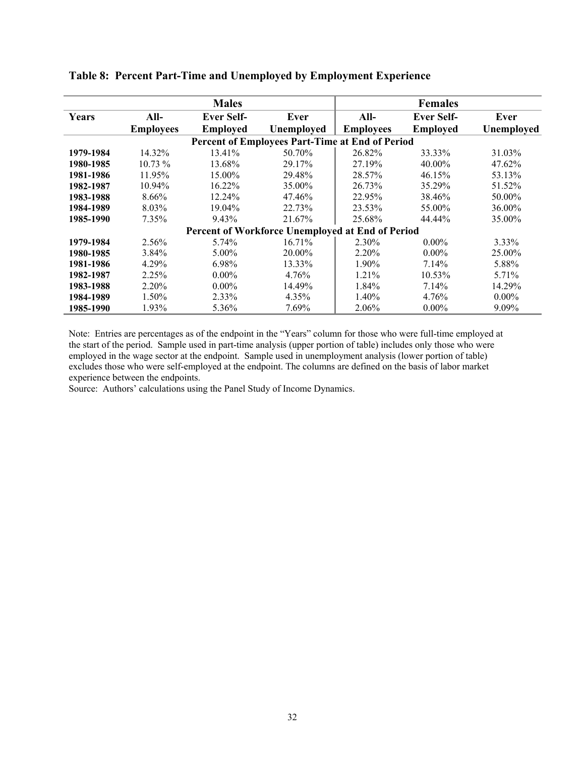|           |                  | <b>Males</b>      |                                                  |                  | <b>Females</b>    |            |
|-----------|------------------|-------------------|--------------------------------------------------|------------------|-------------------|------------|
| Years     | $All-$           | <b>Ever Self-</b> | Ever                                             | All-             | <b>Ever Self-</b> | Ever       |
|           | <b>Employees</b> | <b>Employed</b>   | Unemployed                                       | <b>Employees</b> | <b>Employed</b>   | Unemployed |
|           |                  |                   | Percent of Employees Part-Time at End of Period  |                  |                   |            |
| 1979-1984 | 14.32%           | 13.41%            | 50.70%                                           | 26.82%           | 33.33%            | 31.03%     |
| 1980-1985 | $10.73\%$        | 13.68%            | 29.17%                                           | 27.19%           | 40.00%            | 47.62%     |
| 1981-1986 | 11.95%           | 15.00%            | 29.48%                                           | 28.57%           | 46.15%            | 53.13%     |
| 1982-1987 | 10.94%           | 16.22%            | 35.00%                                           | 26.73%           | 35.29%            | 51.52%     |
| 1983-1988 | 8.66%            | 12.24%            | 47.46%                                           | 22.95%           | 38.46%            | 50.00%     |
| 1984-1989 | 8.03%            | 19.04%            | 22.73%                                           | 23.53%           | 55.00%            | 36.00%     |
| 1985-1990 | 7.35%            | 9.43%             | 21.67%                                           | 25.68%           | 44.44%            | 35.00%     |
|           |                  |                   | Percent of Workforce Unemployed at End of Period |                  |                   |            |
| 1979-1984 | 2.56%            | $5.74\%$          | 16.71%                                           | 2.30%            | $0.00\%$          | 3.33%      |
| 1980-1985 | 3.84%            | $5.00\%$          | 20.00%                                           | 2.20%            | $0.00\%$          | 25.00%     |
| 1981-1986 | 4.29%            | 6.98%             | 13.33%                                           | 1.90%            | 7.14%             | 5.88%      |
| 1982-1987 | 2.25%            | $0.00\%$          | 4.76%                                            | 1.21%            | 10.53%            | 5.71%      |
| 1983-1988 | 2.20%            | $0.00\%$          | 14.49%                                           | 1.84%            | 7.14%             | 14.29%     |
| 1984-1989 | 1.50%            | 2.33%             | 4.35%                                            | 1.40%            | 4.76%             | $0.00\%$   |
| 1985-1990 | 1.93%            | 5.36%             | 7.69%                                            | 2.06%            | $0.00\%$          | 9.09%      |

**Table 8: Percent Part-Time and Unemployed by Employment Experience** 

Note: Entries are percentages as of the endpoint in the "Years" column for those who were full-time employed at the start of the period. Sample used in part-time analysis (upper portion of table) includes only those who were employed in the wage sector at the endpoint. Sample used in unemployment analysis (lower portion of table) excludes those who were self-employed at the endpoint. The columns are defined on the basis of labor market experience between the endpoints.

Source: Authors' calculations using the Panel Study of Income Dynamics.